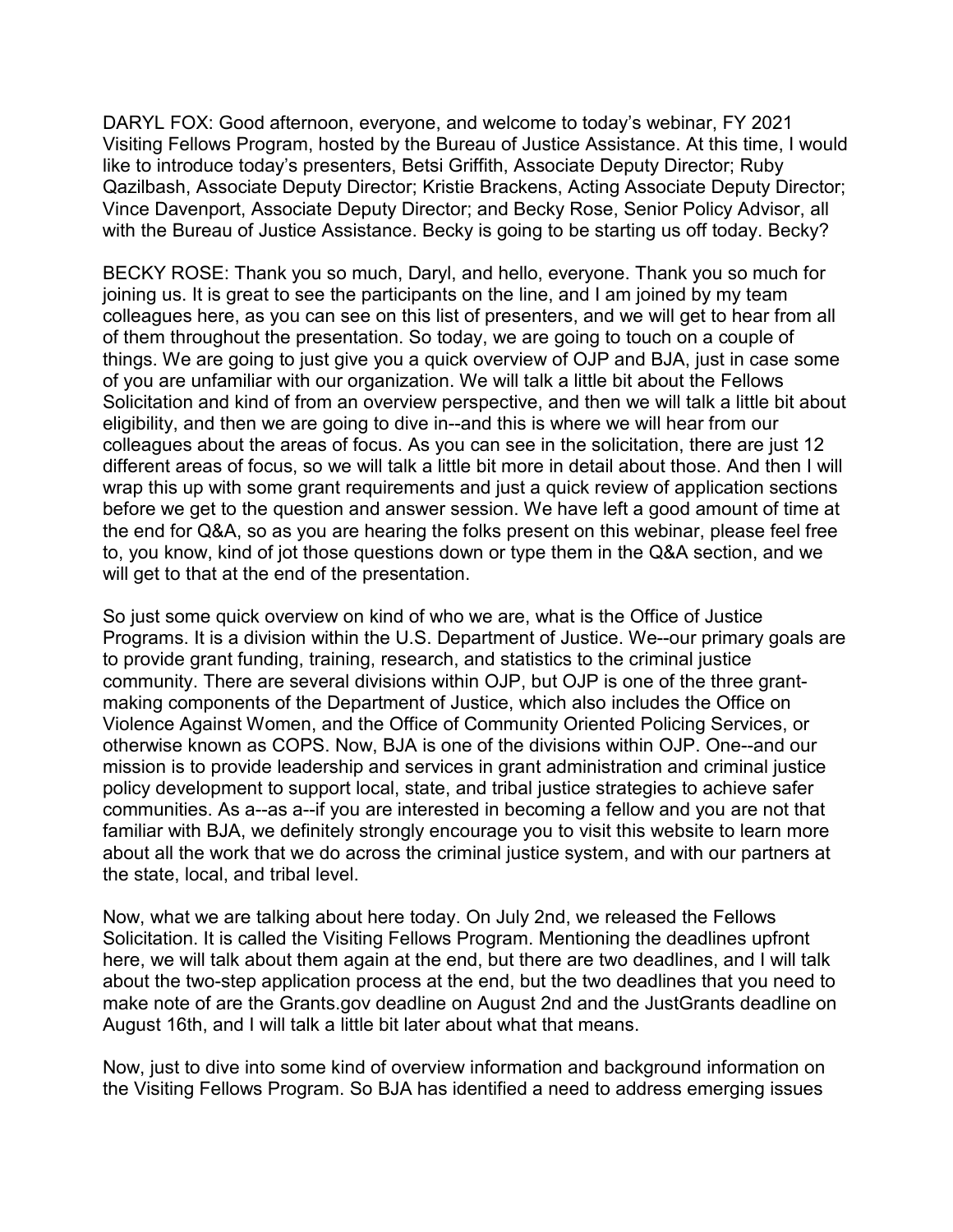DARYL FOX: Good afternoon, everyone, and welcome to today's webinar, FY 2021 Visiting Fellows Program, hosted by the Bureau of Justice Assistance. At this time, I would like to introduce today's presenters, Betsi Griffith, Associate Deputy Director; Ruby Qazilbash, Associate Deputy Director; Kristie Brackens, Acting Associate Deputy Director; Vince Davenport, Associate Deputy Director; and Becky Rose, Senior Policy Advisor, all with the Bureau of Justice Assistance. Becky is going to be starting us off today. Becky?

BECKY ROSE: Thank you so much, Daryl, and hello, everyone. Thank you so much for joining us. It is great to see the participants on the line, and I am joined by my team colleagues here, as you can see on this list of presenters, and we will get to hear from all of them throughout the presentation. So today, we are going to touch on a couple of things. We are going to just give you a quick overview of OJP and BJA, just in case some of you are unfamiliar with our organization. We will talk a little bit about the Fellows Solicitation and kind of from an overview perspective, and then we will talk a little bit about eligibility, and then we are going to dive in--and this is where we will hear from our colleagues about the areas of focus. As you can see in the solicitation, there are just 12 different areas of focus, so we will talk a little bit more in detail about those. And then I will wrap this up with some grant requirements and just a quick review of application sections before we get to the question and answer session. We have left a good amount of time at the end for Q&A, so as you are hearing the folks present on this webinar, please feel free to, you know, kind of jot those questions down or type them in the Q&A section, and we will get to that at the end of the presentation.

So just some quick overview on kind of who we are, what is the Office of Justice Programs. It is a division within the U.S. Department of Justice. We--our primary goals are to provide grant funding, training, research, and statistics to the criminal justice community. There are several divisions within OJP, but OJP is one of the three grantmaking components of the Department of Justice, which also includes the Office on Violence Against Women, and the Office of Community Oriented Policing Services, or otherwise known as COPS. Now, BJA is one of the divisions within OJP. One--and our mission is to provide leadership and services in grant administration and criminal justice policy development to support local, state, and tribal justice strategies to achieve safer communities. As a--as a--if you are interested in becoming a fellow and you are not that familiar with BJA, we definitely strongly encourage you to visit this website to learn more about all the work that we do across the criminal justice system, and with our partners at the state, local, and tribal level.

Now, what we are talking about here today. On July 2nd, we released the Fellows Solicitation. It is called the Visiting Fellows Program. Mentioning the deadlines upfront here, we will talk about them again at the end, but there are two deadlines, and I will talk about the two-step application process at the end, but the two deadlines that you need to make note of are the Grants.gov deadline on August 2nd and the JustGrants deadline on August 16th, and I will talk a little bit later about what that means.

Now, just to dive into some kind of overview information and background information on the Visiting Fellows Program. So BJA has identified a need to address emerging issues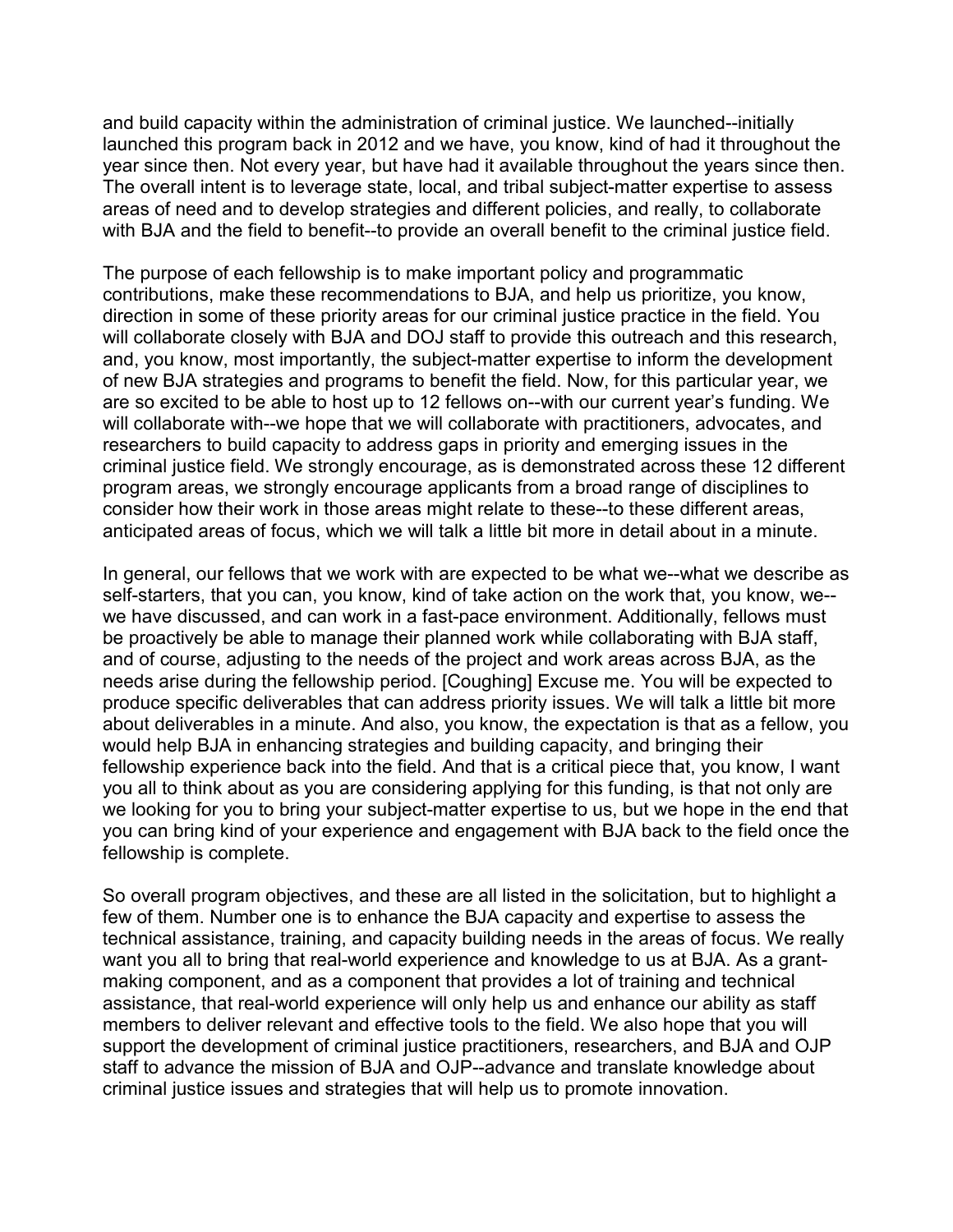and build capacity within the administration of criminal justice. We launched--initially launched this program back in 2012 and we have, you know, kind of had it throughout the year since then. Not every year, but have had it available throughout the years since then. The overall intent is to leverage state, local, and tribal subject-matter expertise to assess areas of need and to develop strategies and different policies, and really, to collaborate with BJA and the field to benefit--to provide an overall benefit to the criminal justice field.

The purpose of each fellowship is to make important policy and programmatic contributions, make these recommendations to BJA, and help us prioritize, you know, direction in some of these priority areas for our criminal justice practice in the field. You will collaborate closely with BJA and DOJ staff to provide this outreach and this research, and, you know, most importantly, the subject-matter expertise to inform the development of new BJA strategies and programs to benefit the field. Now, for this particular year, we are so excited to be able to host up to 12 fellows on--with our current year's funding. We will collaborate with--we hope that we will collaborate with practitioners, advocates, and researchers to build capacity to address gaps in priority and emerging issues in the criminal justice field. We strongly encourage, as is demonstrated across these 12 different program areas, we strongly encourage applicants from a broad range of disciplines to consider how their work in those areas might relate to these--to these different areas, anticipated areas of focus, which we will talk a little bit more in detail about in a minute.

In general, our fellows that we work with are expected to be what we--what we describe as self-starters, that you can, you know, kind of take action on the work that, you know, we- we have discussed, and can work in a fast-pace environment. Additionally, fellows must be proactively be able to manage their planned work while collaborating with BJA staff, and of course, adjusting to the needs of the project and work areas across BJA, as the needs arise during the fellowship period. [Coughing] Excuse me. You will be expected to produce specific deliverables that can address priority issues. We will talk a little bit more about deliverables in a minute. And also, you know, the expectation is that as a fellow, you would help BJA in enhancing strategies and building capacity, and bringing their fellowship experience back into the field. And that is a critical piece that, you know, I want you all to think about as you are considering applying for this funding, is that not only are we looking for you to bring your subject-matter expertise to us, but we hope in the end that you can bring kind of your experience and engagement with BJA back to the field once the fellowship is complete.

So overall program objectives, and these are all listed in the solicitation, but to highlight a few of them. Number one is to enhance the BJA capacity and expertise to assess the technical assistance, training, and capacity building needs in the areas of focus. We really want you all to bring that real-world experience and knowledge to us at BJA. As a grantmaking component, and as a component that provides a lot of training and technical assistance, that real-world experience will only help us and enhance our ability as staff members to deliver relevant and effective tools to the field. We also hope that you will support the development of criminal justice practitioners, researchers, and BJA and OJP staff to advance the mission of BJA and OJP--advance and translate knowledge about criminal justice issues and strategies that will help us to promote innovation.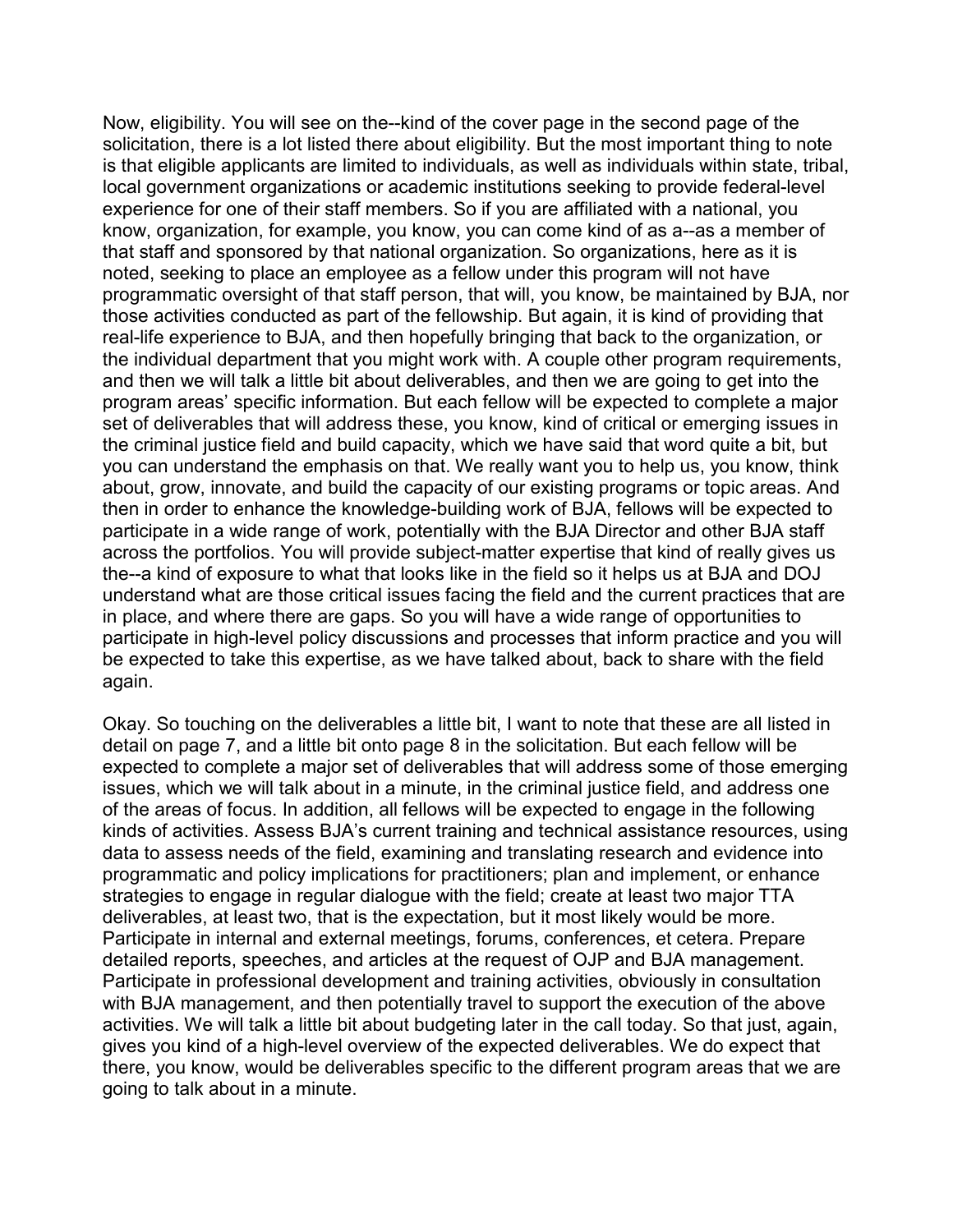Now, eligibility. You will see on the--kind of the cover page in the second page of the solicitation, there is a lot listed there about eligibility. But the most important thing to note is that eligible applicants are limited to individuals, as well as individuals within state, tribal, local government organizations or academic institutions seeking to provide federal-level experience for one of their staff members. So if you are affiliated with a national, you know, organization, for example, you know, you can come kind of as a--as a member of that staff and sponsored by that national organization. So organizations, here as it is noted, seeking to place an employee as a fellow under this program will not have programmatic oversight of that staff person, that will, you know, be maintained by BJA, nor those activities conducted as part of the fellowship. But again, it is kind of providing that real-life experience to BJA, and then hopefully bringing that back to the organization, or the individual department that you might work with. A couple other program requirements, and then we will talk a little bit about deliverables, and then we are going to get into the program areas' specific information. But each fellow will be expected to complete a major set of deliverables that will address these, you know, kind of critical or emerging issues in the criminal justice field and build capacity, which we have said that word quite a bit, but you can understand the emphasis on that. We really want you to help us, you know, think about, grow, innovate, and build the capacity of our existing programs or topic areas. And then in order to enhance the knowledge-building work of BJA, fellows will be expected to participate in a wide range of work, potentially with the BJA Director and other BJA staff across the portfolios. You will provide subject-matter expertise that kind of really gives us the--a kind of exposure to what that looks like in the field so it helps us at BJA and DOJ understand what are those critical issues facing the field and the current practices that are in place, and where there are gaps. So you will have a wide range of opportunities to participate in high-level policy discussions and processes that inform practice and you will be expected to take this expertise, as we have talked about, back to share with the field again.

Okay. So touching on the deliverables a little bit, I want to note that these are all listed in detail on page 7, and a little bit onto page 8 in the solicitation. But each fellow will be expected to complete a major set of deliverables that will address some of those emerging issues, which we will talk about in a minute, in the criminal justice field, and address one of the areas of focus. In addition, all fellows will be expected to engage in the following kinds of activities. Assess BJA's current training and technical assistance resources, using data to assess needs of the field, examining and translating research and evidence into programmatic and policy implications for practitioners; plan and implement, or enhance strategies to engage in regular dialogue with the field; create at least two major TTA deliverables, at least two, that is the expectation, but it most likely would be more. Participate in internal and external meetings, forums, conferences, et cetera. Prepare detailed reports, speeches, and articles at the request of OJP and BJA management. Participate in professional development and training activities, obviously in consultation with BJA management, and then potentially travel to support the execution of the above activities. We will talk a little bit about budgeting later in the call today. So that just, again, gives you kind of a high-level overview of the expected deliverables. We do expect that there, you know, would be deliverables specific to the different program areas that we are going to talk about in a minute.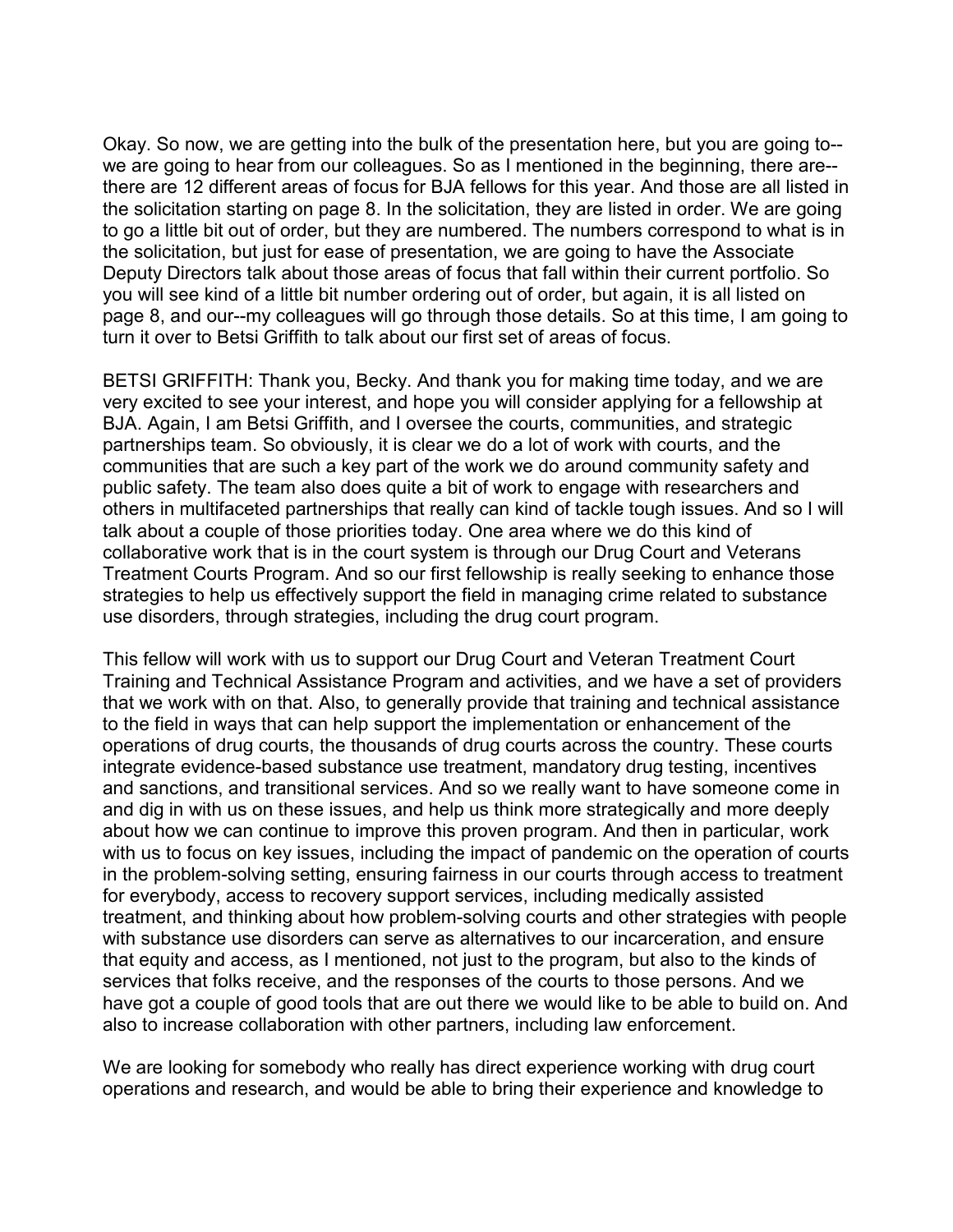Okay. So now, we are getting into the bulk of the presentation here, but you are going to- we are going to hear from our colleagues. So as I mentioned in the beginning, there are-there are 12 different areas of focus for BJA fellows for this year. And those are all listed in the solicitation starting on page 8. In the solicitation, they are listed in order. We are going to go a little bit out of order, but they are numbered. The numbers correspond to what is in the solicitation, but just for ease of presentation, we are going to have the Associate Deputy Directors talk about those areas of focus that fall within their current portfolio. So you will see kind of a little bit number ordering out of order, but again, it is all listed on page 8, and our--my colleagues will go through those details. So at this time, I am going to turn it over to Betsi Griffith to talk about our first set of areas of focus.

BETSI GRIFFITH: Thank you, Becky. And thank you for making time today, and we are very excited to see your interest, and hope you will consider applying for a fellowship at BJA. Again, I am Betsi Griffith, and I oversee the courts, communities, and strategic partnerships team. So obviously, it is clear we do a lot of work with courts, and the communities that are such a key part of the work we do around community safety and public safety. The team also does quite a bit of work to engage with researchers and others in multifaceted partnerships that really can kind of tackle tough issues. And so I will talk about a couple of those priorities today. One area where we do this kind of collaborative work that is in the court system is through our Drug Court and Veterans Treatment Courts Program. And so our first fellowship is really seeking to enhance those strategies to help us effectively support the field in managing crime related to substance use disorders, through strategies, including the drug court program.

This fellow will work with us to support our Drug Court and Veteran Treatment Court Training and Technical Assistance Program and activities, and we have a set of providers that we work with on that. Also, to generally provide that training and technical assistance to the field in ways that can help support the implementation or enhancement of the operations of drug courts, the thousands of drug courts across the country. These courts integrate evidence-based substance use treatment, mandatory drug testing, incentives and sanctions, and transitional services. And so we really want to have someone come in and dig in with us on these issues, and help us think more strategically and more deeply about how we can continue to improve this proven program. And then in particular, work with us to focus on key issues, including the impact of pandemic on the operation of courts in the problem-solving setting, ensuring fairness in our courts through access to treatment for everybody, access to recovery support services, including medically assisted treatment, and thinking about how problem-solving courts and other strategies with people with substance use disorders can serve as alternatives to our incarceration, and ensure that equity and access, as I mentioned, not just to the program, but also to the kinds of services that folks receive, and the responses of the courts to those persons. And we have got a couple of good tools that are out there we would like to be able to build on. And also to increase collaboration with other partners, including law enforcement.

We are looking for somebody who really has direct experience working with drug court operations and research, and would be able to bring their experience and knowledge to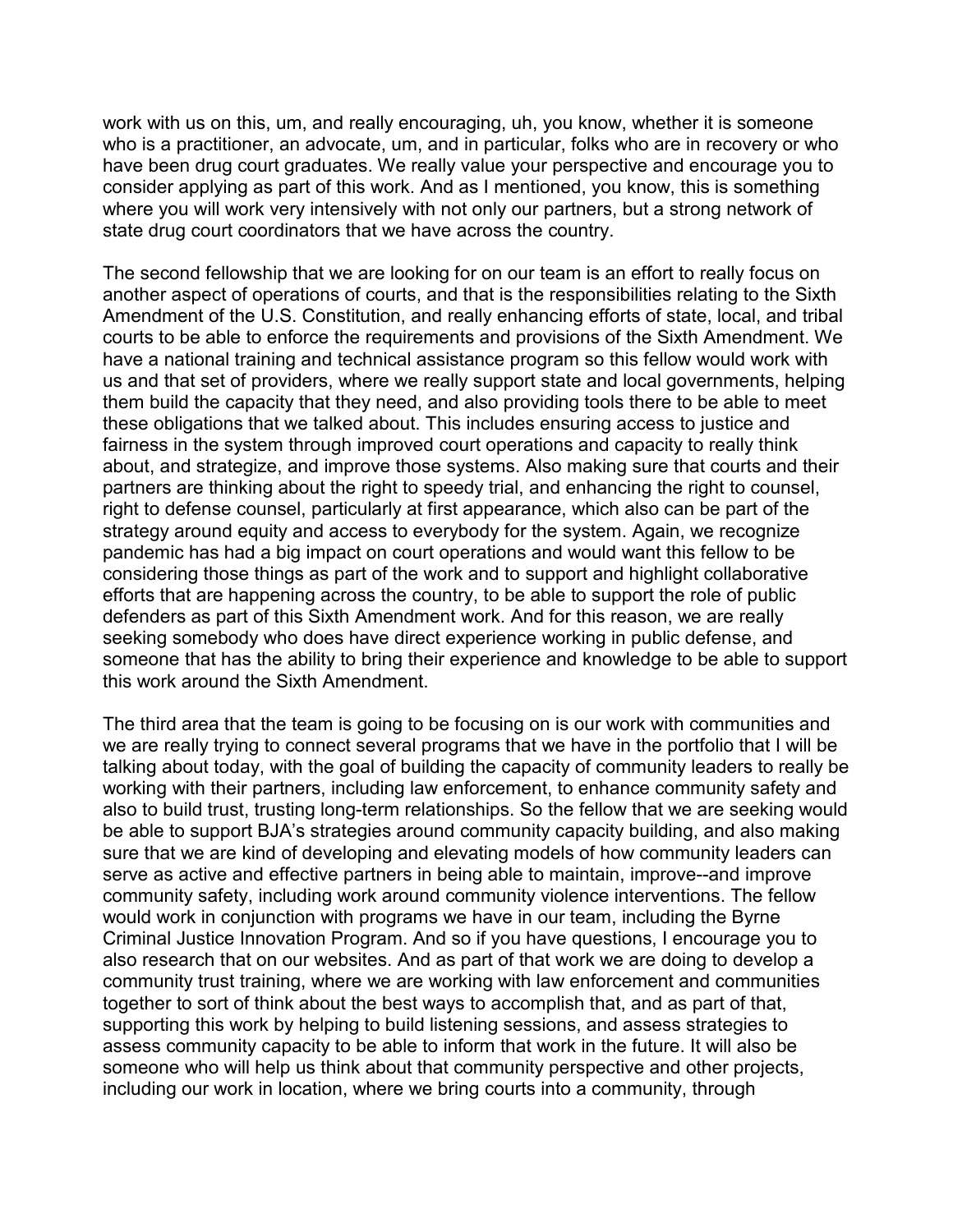work with us on this, um, and really encouraging, uh, you know, whether it is someone who is a practitioner, an advocate, um, and in particular, folks who are in recovery or who have been drug court graduates. We really value your perspective and encourage you to consider applying as part of this work. And as I mentioned, you know, this is something where you will work very intensively with not only our partners, but a strong network of state drug court coordinators that we have across the country.

The second fellowship that we are looking for on our team is an effort to really focus on another aspect of operations of courts, and that is the responsibilities relating to the Sixth Amendment of the U.S. Constitution, and really enhancing efforts of state, local, and tribal courts to be able to enforce the requirements and provisions of the Sixth Amendment. We have a national training and technical assistance program so this fellow would work with us and that set of providers, where we really support state and local governments, helping them build the capacity that they need, and also providing tools there to be able to meet these obligations that we talked about. This includes ensuring access to justice and fairness in the system through improved court operations and capacity to really think about, and strategize, and improve those systems. Also making sure that courts and their partners are thinking about the right to speedy trial, and enhancing the right to counsel, right to defense counsel, particularly at first appearance, which also can be part of the strategy around equity and access to everybody for the system. Again, we recognize pandemic has had a big impact on court operations and would want this fellow to be considering those things as part of the work and to support and highlight collaborative efforts that are happening across the country, to be able to support the role of public defenders as part of this Sixth Amendment work. And for this reason, we are really seeking somebody who does have direct experience working in public defense, and someone that has the ability to bring their experience and knowledge to be able to support this work around the Sixth Amendment.

The third area that the team is going to be focusing on is our work with communities and we are really trying to connect several programs that we have in the portfolio that I will be talking about today, with the goal of building the capacity of community leaders to really be working with their partners, including law enforcement, to enhance community safety and also to build trust, trusting long-term relationships. So the fellow that we are seeking would be able to support BJA's strategies around community capacity building, and also making sure that we are kind of developing and elevating models of how community leaders can serve as active and effective partners in being able to maintain, improve--and improve community safety, including work around community violence interventions. The fellow would work in conjunction with programs we have in our team, including the Byrne Criminal Justice Innovation Program. And so if you have questions, I encourage you to also research that on our websites. And as part of that work we are doing to develop a community trust training, where we are working with law enforcement and communities together to sort of think about the best ways to accomplish that, and as part of that, supporting this work by helping to build listening sessions, and assess strategies to assess community capacity to be able to inform that work in the future. It will also be someone who will help us think about that community perspective and other projects, including our work in location, where we bring courts into a community, through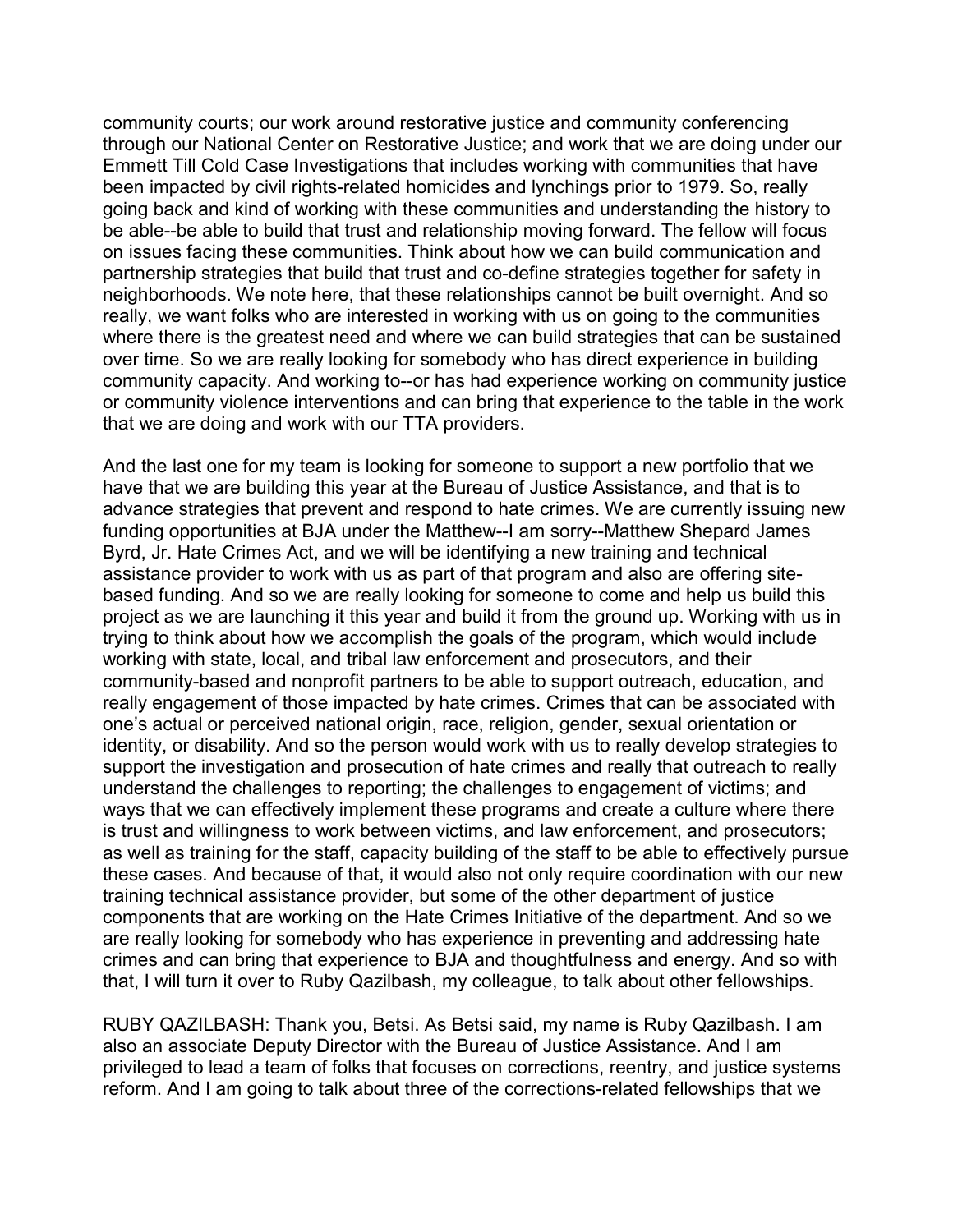community courts; our work around restorative justice and community conferencing through our National Center on Restorative Justice; and work that we are doing under our Emmett Till Cold Case Investigations that includes working with communities that have been impacted by civil rights-related homicides and lynchings prior to 1979. So, really going back and kind of working with these communities and understanding the history to be able--be able to build that trust and relationship moving forward. The fellow will focus on issues facing these communities. Think about how we can build communication and partnership strategies that build that trust and co-define strategies together for safety in neighborhoods. We note here, that these relationships cannot be built overnight. And so really, we want folks who are interested in working with us on going to the communities where there is the greatest need and where we can build strategies that can be sustained over time. So we are really looking for somebody who has direct experience in building community capacity. And working to--or has had experience working on community justice or community violence interventions and can bring that experience to the table in the work that we are doing and work with our TTA providers.

And the last one for my team is looking for someone to support a new portfolio that we have that we are building this year at the Bureau of Justice Assistance, and that is to advance strategies that prevent and respond to hate crimes. We are currently issuing new funding opportunities at BJA under the Matthew--I am sorry--Matthew Shepard James Byrd, Jr. Hate Crimes Act, and we will be identifying a new training and technical assistance provider to work with us as part of that program and also are offering sitebased funding. And so we are really looking for someone to come and help us build this project as we are launching it this year and build it from the ground up. Working with us in trying to think about how we accomplish the goals of the program, which would include working with state, local, and tribal law enforcement and prosecutors, and their community-based and nonprofit partners to be able to support outreach, education, and really engagement of those impacted by hate crimes. Crimes that can be associated with one's actual or perceived national origin, race, religion, gender, sexual orientation or identity, or disability. And so the person would work with us to really develop strategies to support the investigation and prosecution of hate crimes and really that outreach to really understand the challenges to reporting; the challenges to engagement of victims; and ways that we can effectively implement these programs and create a culture where there is trust and willingness to work between victims, and law enforcement, and prosecutors; as well as training for the staff, capacity building of the staff to be able to effectively pursue these cases. And because of that, it would also not only require coordination with our new training technical assistance provider, but some of the other department of justice components that are working on the Hate Crimes Initiative of the department. And so we are really looking for somebody who has experience in preventing and addressing hate crimes and can bring that experience to BJA and thoughtfulness and energy. And so with that, I will turn it over to Ruby Qazilbash, my colleague, to talk about other fellowships.

RUBY QAZILBASH: Thank you, Betsi. As Betsi said, my name is Ruby Qazilbash. I am also an associate Deputy Director with the Bureau of Justice Assistance. And I am privileged to lead a team of folks that focuses on corrections, reentry, and justice systems reform. And I am going to talk about three of the corrections-related fellowships that we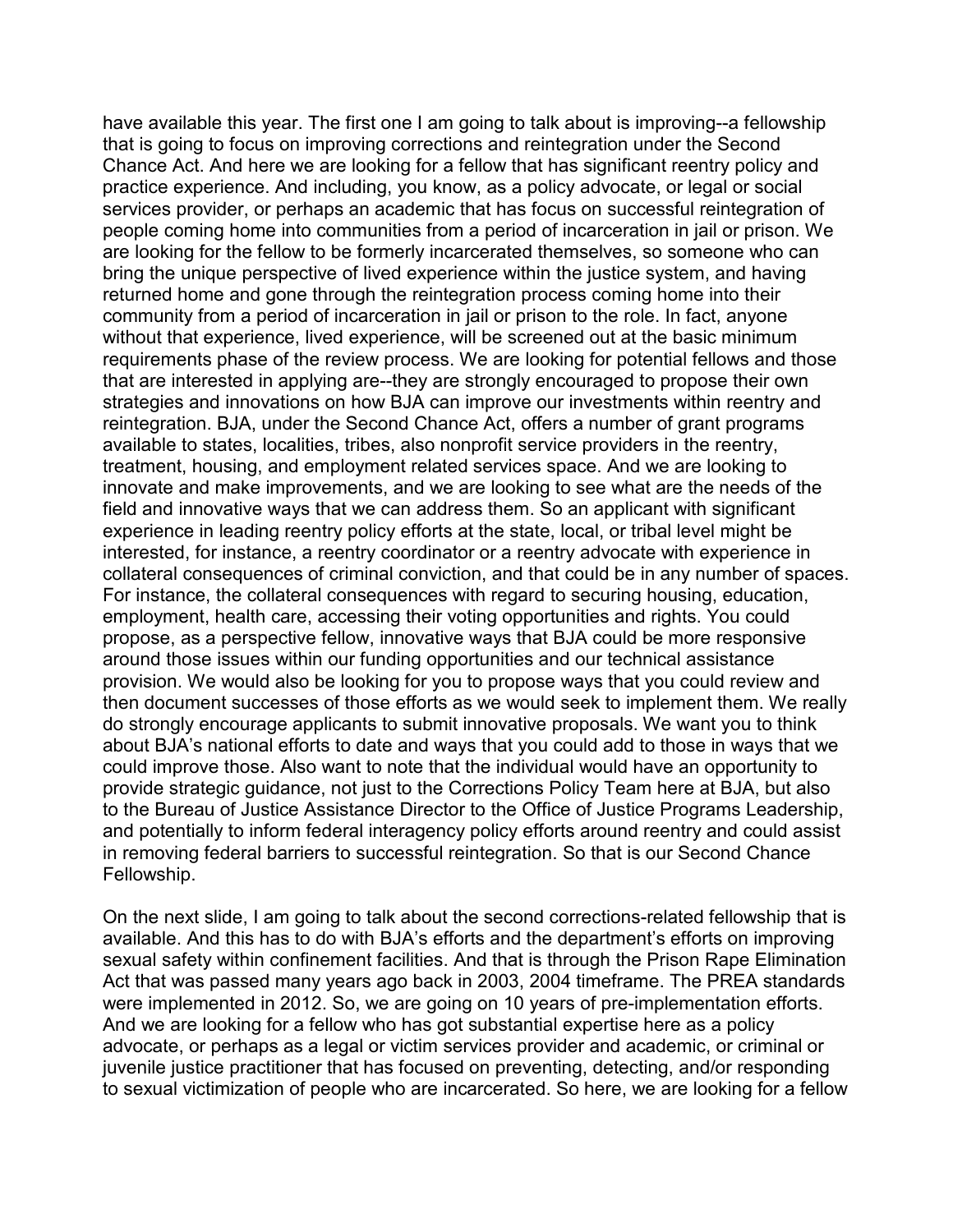have available this year. The first one I am going to talk about is improving--a fellowship that is going to focus on improving corrections and reintegration under the Second Chance Act. And here we are looking for a fellow that has significant reentry policy and practice experience. And including, you know, as a policy advocate, or legal or social services provider, or perhaps an academic that has focus on successful reintegration of people coming home into communities from a period of incarceration in jail or prison. We are looking for the fellow to be formerly incarcerated themselves, so someone who can bring the unique perspective of lived experience within the justice system, and having returned home and gone through the reintegration process coming home into their community from a period of incarceration in jail or prison to the role. In fact, anyone without that experience, lived experience, will be screened out at the basic minimum requirements phase of the review process. We are looking for potential fellows and those that are interested in applying are--they are strongly encouraged to propose their own strategies and innovations on how BJA can improve our investments within reentry and reintegration. BJA, under the Second Chance Act, offers a number of grant programs available to states, localities, tribes, also nonprofit service providers in the reentry, treatment, housing, and employment related services space. And we are looking to innovate and make improvements, and we are looking to see what are the needs of the field and innovative ways that we can address them. So an applicant with significant experience in leading reentry policy efforts at the state, local, or tribal level might be interested, for instance, a reentry coordinator or a reentry advocate with experience in collateral consequences of criminal conviction, and that could be in any number of spaces. For instance, the collateral consequences with regard to securing housing, education, employment, health care, accessing their voting opportunities and rights. You could propose, as a perspective fellow, innovative ways that BJA could be more responsive around those issues within our funding opportunities and our technical assistance provision. We would also be looking for you to propose ways that you could review and then document successes of those efforts as we would seek to implement them. We really do strongly encourage applicants to submit innovative proposals. We want you to think about BJA's national efforts to date and ways that you could add to those in ways that we could improve those. Also want to note that the individual would have an opportunity to provide strategic guidance, not just to the Corrections Policy Team here at BJA, but also to the Bureau of Justice Assistance Director to the Office of Justice Programs Leadership, and potentially to inform federal interagency policy efforts around reentry and could assist in removing federal barriers to successful reintegration. So that is our Second Chance Fellowship.

On the next slide, I am going to talk about the second corrections-related fellowship that is available. And this has to do with BJA's efforts and the department's efforts on improving sexual safety within confinement facilities. And that is through the Prison Rape Elimination Act that was passed many years ago back in 2003, 2004 timeframe. The PREA standards were implemented in 2012. So, we are going on 10 years of pre-implementation efforts. And we are looking for a fellow who has got substantial expertise here as a policy advocate, or perhaps as a legal or victim services provider and academic, or criminal or juvenile justice practitioner that has focused on preventing, detecting, and/or responding to sexual victimization of people who are incarcerated. So here, we are looking for a fellow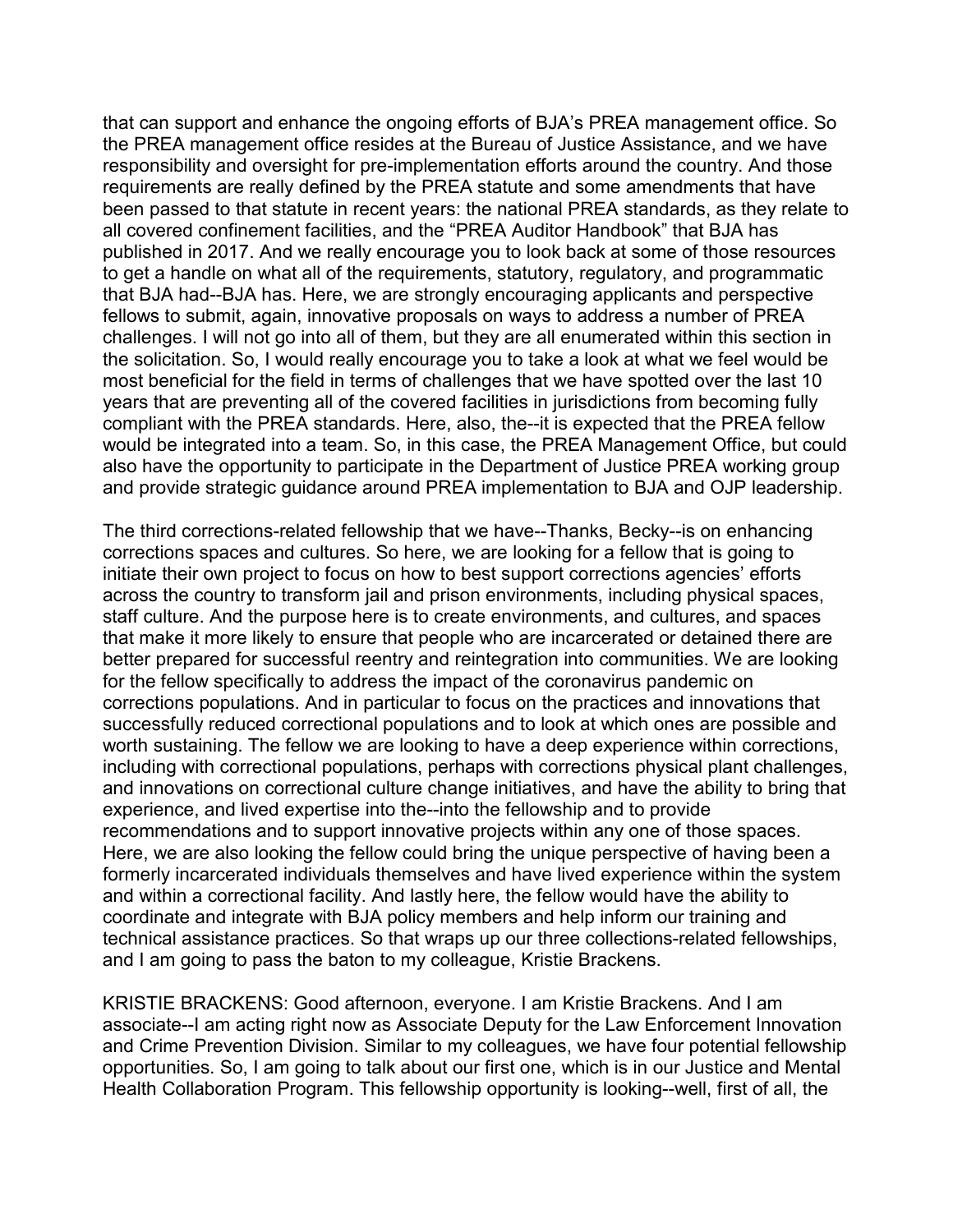that can support and enhance the ongoing efforts of BJA's PREA management office. So the PREA management office resides at the Bureau of Justice Assistance, and we have responsibility and oversight for pre-implementation efforts around the country. And those requirements are really defined by the PREA statute and some amendments that have been passed to that statute in recent years: the national PREA standards, as they relate to all covered confinement facilities, and the "PREA Auditor Handbook" that BJA has published in 2017. And we really encourage you to look back at some of those resources to get a handle on what all of the requirements, statutory, regulatory, and programmatic that BJA had--BJA has. Here, we are strongly encouraging applicants and perspective fellows to submit, again, innovative proposals on ways to address a number of PREA challenges. I will not go into all of them, but they are all enumerated within this section in the solicitation. So, I would really encourage you to take a look at what we feel would be most beneficial for the field in terms of challenges that we have spotted over the last 10 years that are preventing all of the covered facilities in jurisdictions from becoming fully compliant with the PREA standards. Here, also, the--it is expected that the PREA fellow would be integrated into a team. So, in this case, the PREA Management Office, but could also have the opportunity to participate in the Department of Justice PREA working group and provide strategic guidance around PREA implementation to BJA and OJP leadership.

The third corrections-related fellowship that we have--Thanks, Becky--is on enhancing corrections spaces and cultures. So here, we are looking for a fellow that is going to initiate their own project to focus on how to best support corrections agencies' efforts across the country to transform jail and prison environments, including physical spaces, staff culture. And the purpose here is to create environments, and cultures, and spaces that make it more likely to ensure that people who are incarcerated or detained there are better prepared for successful reentry and reintegration into communities. We are looking for the fellow specifically to address the impact of the coronavirus pandemic on corrections populations. And in particular to focus on the practices and innovations that successfully reduced correctional populations and to look at which ones are possible and worth sustaining. The fellow we are looking to have a deep experience within corrections, including with correctional populations, perhaps with corrections physical plant challenges, and innovations on correctional culture change initiatives, and have the ability to bring that experience, and lived expertise into the--into the fellowship and to provide recommendations and to support innovative projects within any one of those spaces. Here, we are also looking the fellow could bring the unique perspective of having been a formerly incarcerated individuals themselves and have lived experience within the system and within a correctional facility. And lastly here, the fellow would have the ability to coordinate and integrate with BJA policy members and help inform our training and technical assistance practices. So that wraps up our three collections-related fellowships, and I am going to pass the baton to my colleague, Kristie Brackens.

KRISTIE BRACKENS: Good afternoon, everyone. I am Kristie Brackens. And I am associate--I am acting right now as Associate Deputy for the Law Enforcement Innovation and Crime Prevention Division. Similar to my colleagues, we have four potential fellowship opportunities. So, I am going to talk about our first one, which is in our Justice and Mental Health Collaboration Program. This fellowship opportunity is looking--well, first of all, the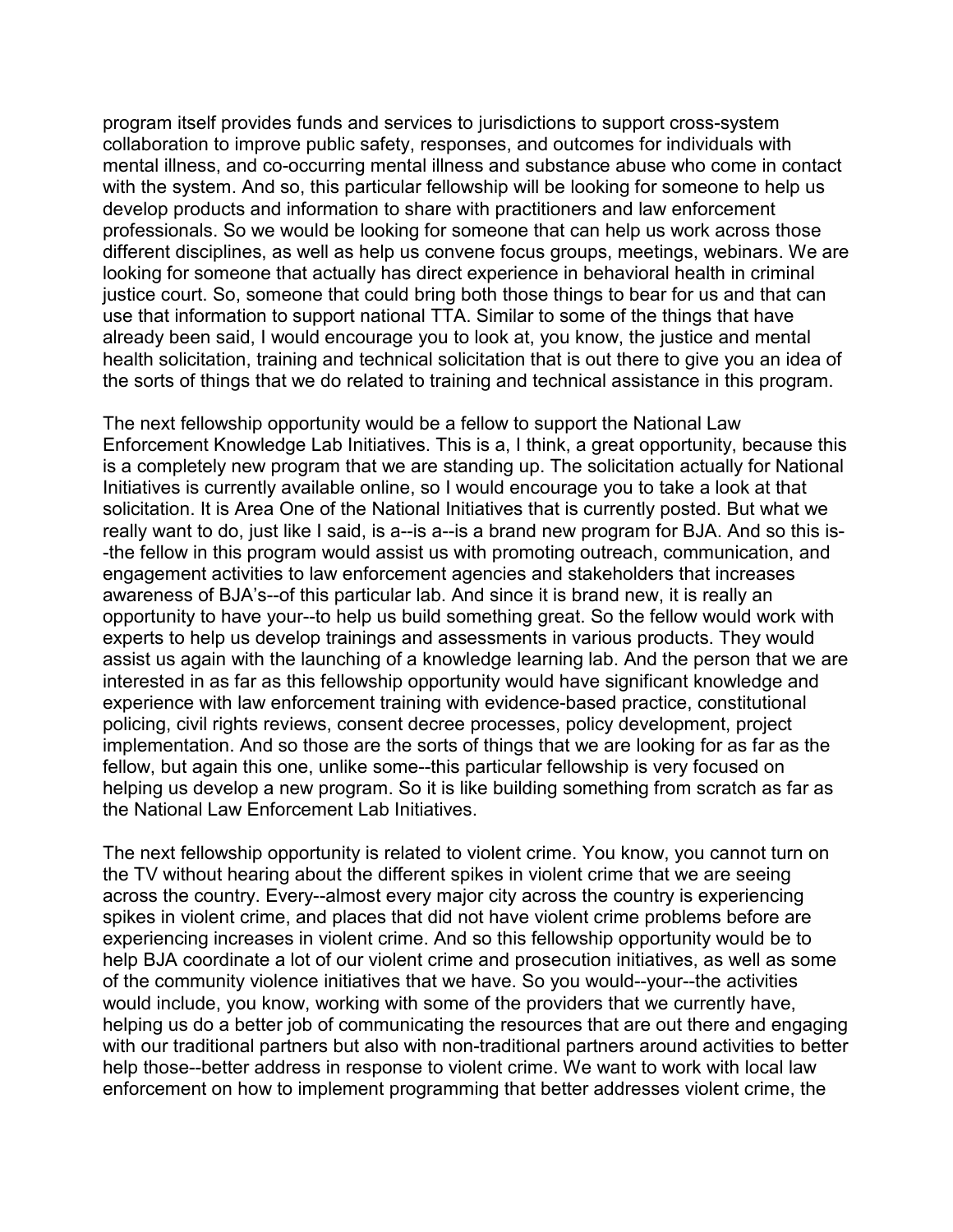program itself provides funds and services to jurisdictions to support cross-system collaboration to improve public safety, responses, and outcomes for individuals with mental illness, and co-occurring mental illness and substance abuse who come in contact with the system. And so, this particular fellowship will be looking for someone to help us develop products and information to share with practitioners and law enforcement professionals. So we would be looking for someone that can help us work across those different disciplines, as well as help us convene focus groups, meetings, webinars. We are looking for someone that actually has direct experience in behavioral health in criminal justice court. So, someone that could bring both those things to bear for us and that can use that information to support national TTA. Similar to some of the things that have already been said, I would encourage you to look at, you know, the justice and mental health solicitation, training and technical solicitation that is out there to give you an idea of the sorts of things that we do related to training and technical assistance in this program.

The next fellowship opportunity would be a fellow to support the National Law Enforcement Knowledge Lab Initiatives. This is a, I think, a great opportunity, because this is a completely new program that we are standing up. The solicitation actually for National Initiatives is currently available online, so I would encourage you to take a look at that solicitation. It is Area One of the National Initiatives that is currently posted. But what we really want to do, just like I said, is a--is a--is a brand new program for BJA. And so this is- -the fellow in this program would assist us with promoting outreach, communication, and engagement activities to law enforcement agencies and stakeholders that increases awareness of BJA's--of this particular lab. And since it is brand new, it is really an opportunity to have your--to help us build something great. So the fellow would work with experts to help us develop trainings and assessments in various products. They would assist us again with the launching of a knowledge learning lab. And the person that we are interested in as far as this fellowship opportunity would have significant knowledge and experience with law enforcement training with evidence-based practice, constitutional policing, civil rights reviews, consent decree processes, policy development, project implementation. And so those are the sorts of things that we are looking for as far as the fellow, but again this one, unlike some--this particular fellowship is very focused on helping us develop a new program. So it is like building something from scratch as far as the National Law Enforcement Lab Initiatives.

The next fellowship opportunity is related to violent crime. You know, you cannot turn on the TV without hearing about the different spikes in violent crime that we are seeing across the country. Every--almost every major city across the country is experiencing spikes in violent crime, and places that did not have violent crime problems before are experiencing increases in violent crime. And so this fellowship opportunity would be to help BJA coordinate a lot of our violent crime and prosecution initiatives, as well as some of the community violence initiatives that we have. So you would--your--the activities would include, you know, working with some of the providers that we currently have, helping us do a better job of communicating the resources that are out there and engaging with our traditional partners but also with non-traditional partners around activities to better help those--better address in response to violent crime. We want to work with local law enforcement on how to implement programming that better addresses violent crime, the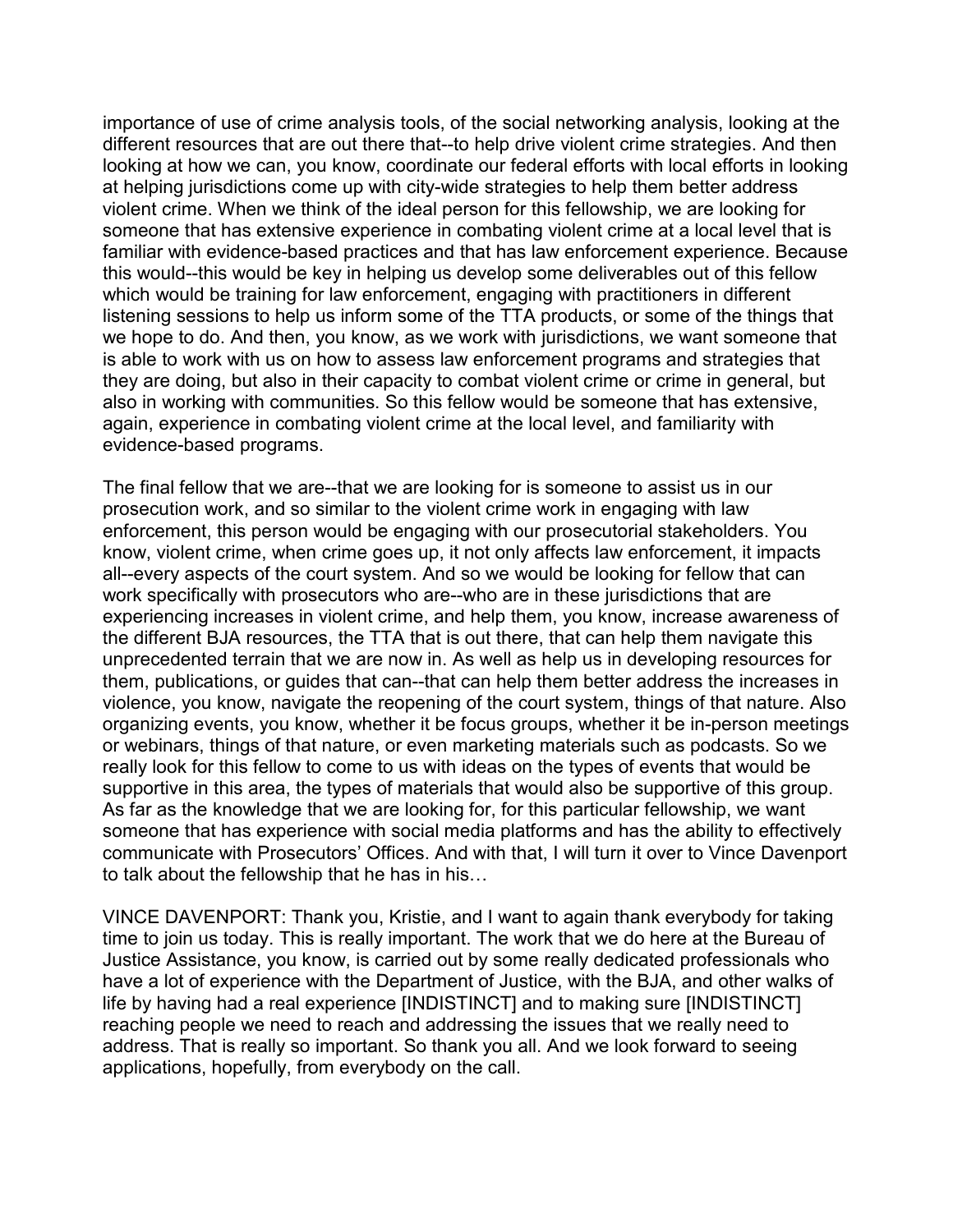importance of use of crime analysis tools, of the social networking analysis, looking at the different resources that are out there that--to help drive violent crime strategies. And then looking at how we can, you know, coordinate our federal efforts with local efforts in looking at helping jurisdictions come up with city-wide strategies to help them better address violent crime. When we think of the ideal person for this fellowship, we are looking for someone that has extensive experience in combating violent crime at a local level that is familiar with evidence-based practices and that has law enforcement experience. Because this would--this would be key in helping us develop some deliverables out of this fellow which would be training for law enforcement, engaging with practitioners in different listening sessions to help us inform some of the TTA products, or some of the things that we hope to do. And then, you know, as we work with jurisdictions, we want someone that is able to work with us on how to assess law enforcement programs and strategies that they are doing, but also in their capacity to combat violent crime or crime in general, but also in working with communities. So this fellow would be someone that has extensive, again, experience in combating violent crime at the local level, and familiarity with evidence-based programs.

The final fellow that we are--that we are looking for is someone to assist us in our prosecution work, and so similar to the violent crime work in engaging with law enforcement, this person would be engaging with our prosecutorial stakeholders. You know, violent crime, when crime goes up, it not only affects law enforcement, it impacts all--every aspects of the court system. And so we would be looking for fellow that can work specifically with prosecutors who are--who are in these jurisdictions that are experiencing increases in violent crime, and help them, you know, increase awareness of the different BJA resources, the TTA that is out there, that can help them navigate this unprecedented terrain that we are now in. As well as help us in developing resources for them, publications, or guides that can--that can help them better address the increases in violence, you know, navigate the reopening of the court system, things of that nature. Also organizing events, you know, whether it be focus groups, whether it be in-person meetings or webinars, things of that nature, or even marketing materials such as podcasts. So we really look for this fellow to come to us with ideas on the types of events that would be supportive in this area, the types of materials that would also be supportive of this group. As far as the knowledge that we are looking for, for this particular fellowship, we want someone that has experience with social media platforms and has the ability to effectively communicate with Prosecutors' Offices. And with that, I will turn it over to Vince Davenport to talk about the fellowship that he has in his…

VINCE DAVENPORT: Thank you, Kristie, and I want to again thank everybody for taking time to join us today. This is really important. The work that we do here at the Bureau of Justice Assistance, you know, is carried out by some really dedicated professionals who have a lot of experience with the Department of Justice, with the BJA, and other walks of life by having had a real experience [INDISTINCT] and to making sure [INDISTINCT] reaching people we need to reach and addressing the issues that we really need to address. That is really so important. So thank you all. And we look forward to seeing applications, hopefully, from everybody on the call.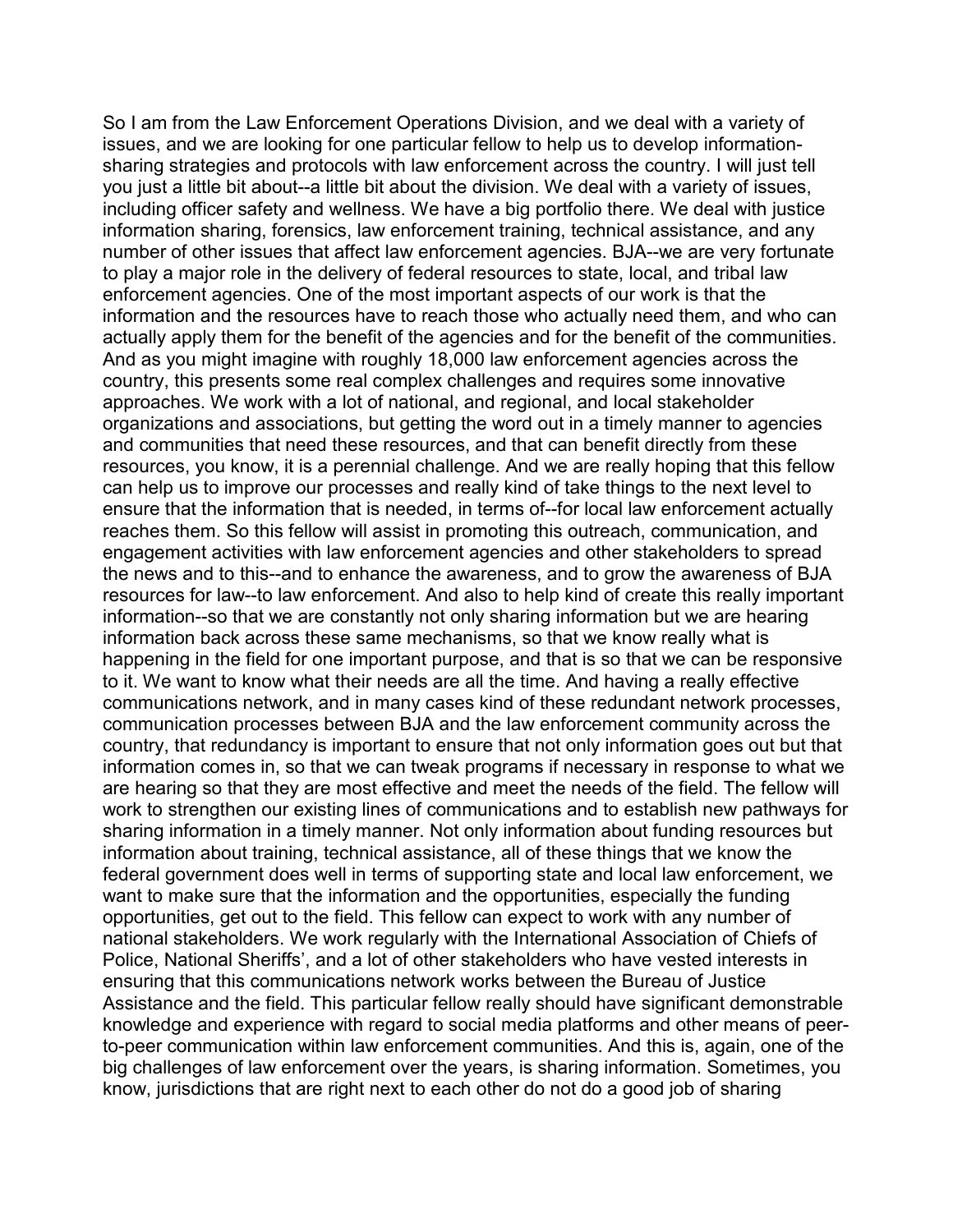So I am from the Law Enforcement Operations Division, and we deal with a variety of issues, and we are looking for one particular fellow to help us to develop informationsharing strategies and protocols with law enforcement across the country. I will just tell you just a little bit about--a little bit about the division. We deal with a variety of issues, including officer safety and wellness. We have a big portfolio there. We deal with justice information sharing, forensics, law enforcement training, technical assistance, and any number of other issues that affect law enforcement agencies. BJA--we are very fortunate to play a major role in the delivery of federal resources to state, local, and tribal law enforcement agencies. One of the most important aspects of our work is that the information and the resources have to reach those who actually need them, and who can actually apply them for the benefit of the agencies and for the benefit of the communities. And as you might imagine with roughly 18,000 law enforcement agencies across the country, this presents some real complex challenges and requires some innovative approaches. We work with a lot of national, and regional, and local stakeholder organizations and associations, but getting the word out in a timely manner to agencies and communities that need these resources, and that can benefit directly from these resources, you know, it is a perennial challenge. And we are really hoping that this fellow can help us to improve our processes and really kind of take things to the next level to ensure that the information that is needed, in terms of--for local law enforcement actually reaches them. So this fellow will assist in promoting this outreach, communication, and engagement activities with law enforcement agencies and other stakeholders to spread the news and to this--and to enhance the awareness, and to grow the awareness of BJA resources for law--to law enforcement. And also to help kind of create this really important information--so that we are constantly not only sharing information but we are hearing information back across these same mechanisms, so that we know really what is happening in the field for one important purpose, and that is so that we can be responsive to it. We want to know what their needs are all the time. And having a really effective communications network, and in many cases kind of these redundant network processes, communication processes between BJA and the law enforcement community across the country, that redundancy is important to ensure that not only information goes out but that information comes in, so that we can tweak programs if necessary in response to what we are hearing so that they are most effective and meet the needs of the field. The fellow will work to strengthen our existing lines of communications and to establish new pathways for sharing information in a timely manner. Not only information about funding resources but information about training, technical assistance, all of these things that we know the federal government does well in terms of supporting state and local law enforcement, we want to make sure that the information and the opportunities, especially the funding opportunities, get out to the field. This fellow can expect to work with any number of national stakeholders. We work regularly with the International Association of Chiefs of Police, National Sheriffs', and a lot of other stakeholders who have vested interests in ensuring that this communications network works between the Bureau of Justice Assistance and the field. This particular fellow really should have significant demonstrable knowledge and experience with regard to social media platforms and other means of peerto-peer communication within law enforcement communities. And this is, again, one of the big challenges of law enforcement over the years, is sharing information. Sometimes, you know, jurisdictions that are right next to each other do not do a good job of sharing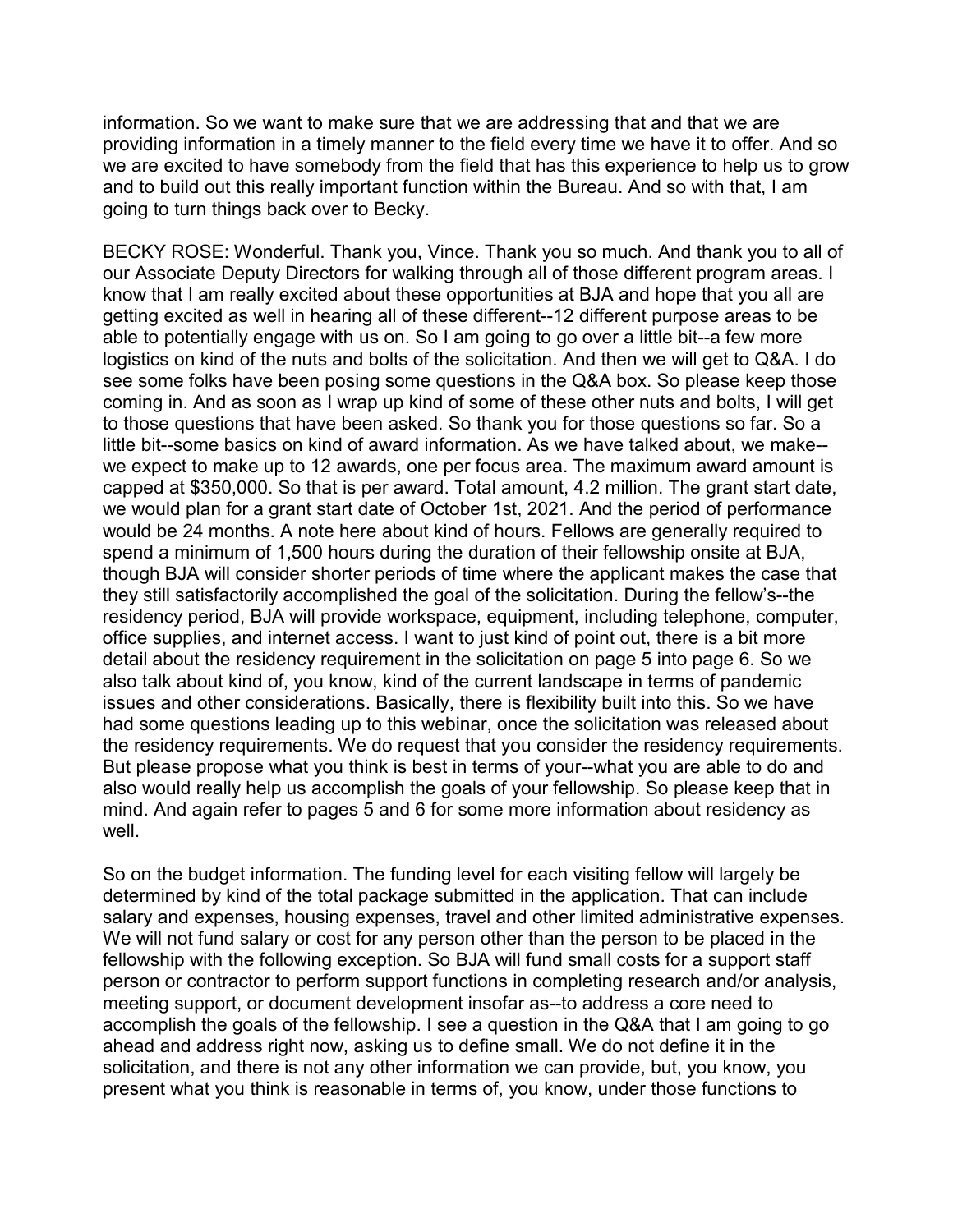information. So we want to make sure that we are addressing that and that we are providing information in a timely manner to the field every time we have it to offer. And so we are excited to have somebody from the field that has this experience to help us to grow and to build out this really important function within the Bureau. And so with that, I am going to turn things back over to Becky.

BECKY ROSE: Wonderful. Thank you, Vince. Thank you so much. And thank you to all of our Associate Deputy Directors for walking through all of those different program areas. I know that I am really excited about these opportunities at BJA and hope that you all are getting excited as well in hearing all of these different--12 different purpose areas to be able to potentially engage with us on. So I am going to go over a little bit--a few more logistics on kind of the nuts and bolts of the solicitation. And then we will get to Q&A. I do see some folks have been posing some questions in the Q&A box. So please keep those coming in. And as soon as I wrap up kind of some of these other nuts and bolts, I will get to those questions that have been asked. So thank you for those questions so far. So a little bit--some basics on kind of award information. As we have talked about, we make- we expect to make up to 12 awards, one per focus area. The maximum award amount is capped at \$350,000. So that is per award. Total amount, 4.2 million. The grant start date, we would plan for a grant start date of October 1st, 2021. And the period of performance would be 24 months. A note here about kind of hours. Fellows are generally required to spend a minimum of 1,500 hours during the duration of their fellowship onsite at BJA, though BJA will consider shorter periods of time where the applicant makes the case that they still satisfactorily accomplished the goal of the solicitation. During the fellow's--the residency period, BJA will provide workspace, equipment, including telephone, computer, office supplies, and internet access. I want to just kind of point out, there is a bit more detail about the residency requirement in the solicitation on page 5 into page 6. So we also talk about kind of, you know, kind of the current landscape in terms of pandemic issues and other considerations. Basically, there is flexibility built into this. So we have had some questions leading up to this webinar, once the solicitation was released about the residency requirements. We do request that you consider the residency requirements. But please propose what you think is best in terms of your--what you are able to do and also would really help us accomplish the goals of your fellowship. So please keep that in mind. And again refer to pages 5 and 6 for some more information about residency as well.

So on the budget information. The funding level for each visiting fellow will largely be determined by kind of the total package submitted in the application. That can include salary and expenses, housing expenses, travel and other limited administrative expenses. We will not fund salary or cost for any person other than the person to be placed in the fellowship with the following exception. So BJA will fund small costs for a support staff person or contractor to perform support functions in completing research and/or analysis, meeting support, or document development insofar as--to address a core need to accomplish the goals of the fellowship. I see a question in the Q&A that I am going to go ahead and address right now, asking us to define small. We do not define it in the solicitation, and there is not any other information we can provide, but, you know, you present what you think is reasonable in terms of, you know, under those functions to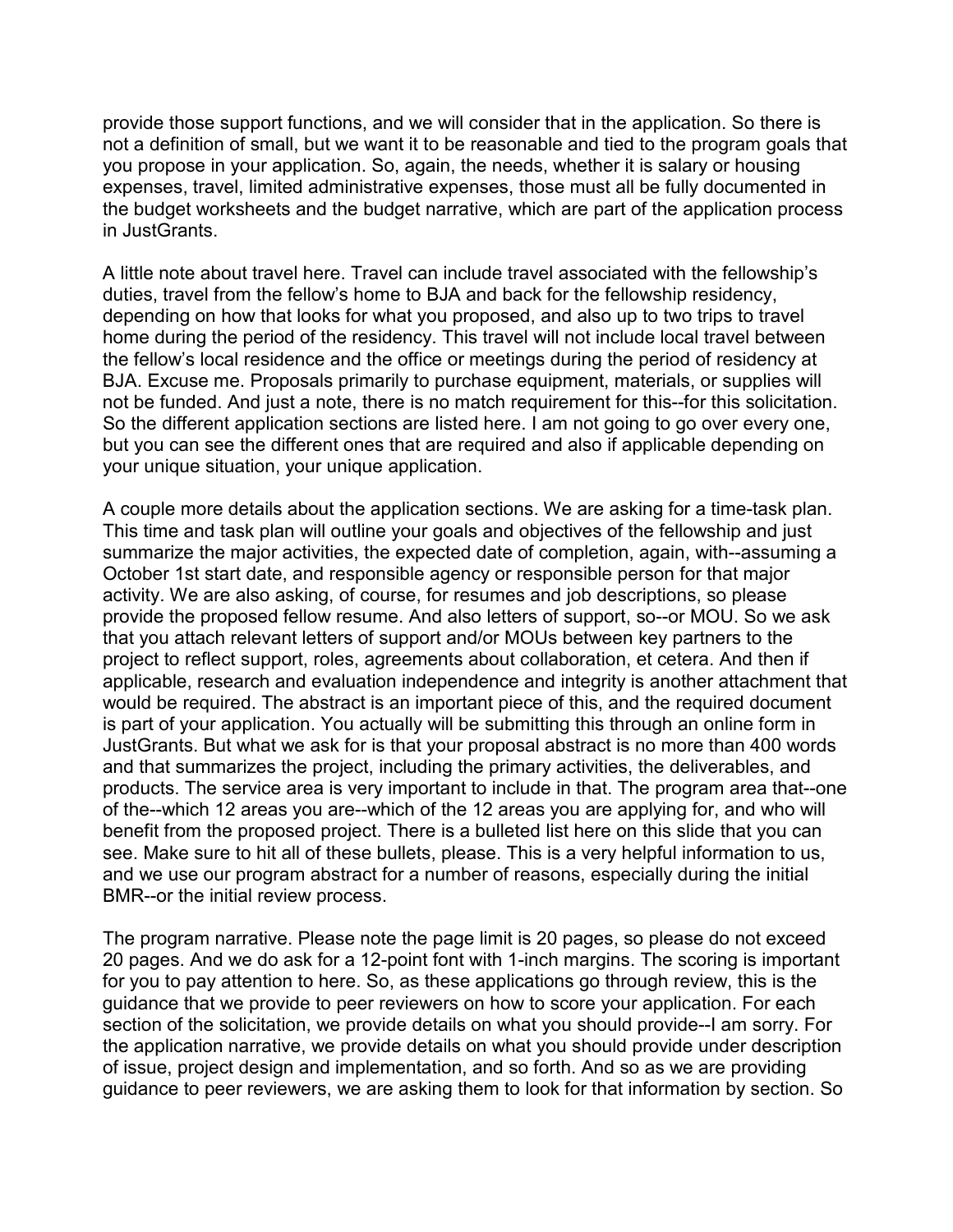provide those support functions, and we will consider that in the application. So there is not a definition of small, but we want it to be reasonable and tied to the program goals that you propose in your application. So, again, the needs, whether it is salary or housing expenses, travel, limited administrative expenses, those must all be fully documented in the budget worksheets and the budget narrative, which are part of the application process in JustGrants.

A little note about travel here. Travel can include travel associated with the fellowship's duties, travel from the fellow's home to BJA and back for the fellowship residency, depending on how that looks for what you proposed, and also up to two trips to travel home during the period of the residency. This travel will not include local travel between the fellow's local residence and the office or meetings during the period of residency at BJA. Excuse me. Proposals primarily to purchase equipment, materials, or supplies will not be funded. And just a note, there is no match requirement for this--for this solicitation. So the different application sections are listed here. I am not going to go over every one, but you can see the different ones that are required and also if applicable depending on your unique situation, your unique application.

A couple more details about the application sections. We are asking for a time-task plan. This time and task plan will outline your goals and objectives of the fellowship and just summarize the major activities, the expected date of completion, again, with--assuming a October 1st start date, and responsible agency or responsible person for that major activity. We are also asking, of course, for resumes and job descriptions, so please provide the proposed fellow resume. And also letters of support, so--or MOU. So we ask that you attach relevant letters of support and/or MOUs between key partners to the project to reflect support, roles, agreements about collaboration, et cetera. And then if applicable, research and evaluation independence and integrity is another attachment that would be required. The abstract is an important piece of this, and the required document is part of your application. You actually will be submitting this through an online form in JustGrants. But what we ask for is that your proposal abstract is no more than 400 words and that summarizes the project, including the primary activities, the deliverables, and products. The service area is very important to include in that. The program area that--one of the--which 12 areas you are--which of the 12 areas you are applying for, and who will benefit from the proposed project. There is a bulleted list here on this slide that you can see. Make sure to hit all of these bullets, please. This is a very helpful information to us, and we use our program abstract for a number of reasons, especially during the initial BMR--or the initial review process.

The program narrative. Please note the page limit is 20 pages, so please do not exceed 20 pages. And we do ask for a 12-point font with 1-inch margins. The scoring is important for you to pay attention to here. So, as these applications go through review, this is the guidance that we provide to peer reviewers on how to score your application. For each section of the solicitation, we provide details on what you should provide--I am sorry. For the application narrative, we provide details on what you should provide under description of issue, project design and implementation, and so forth. And so as we are providing guidance to peer reviewers, we are asking them to look for that information by section. So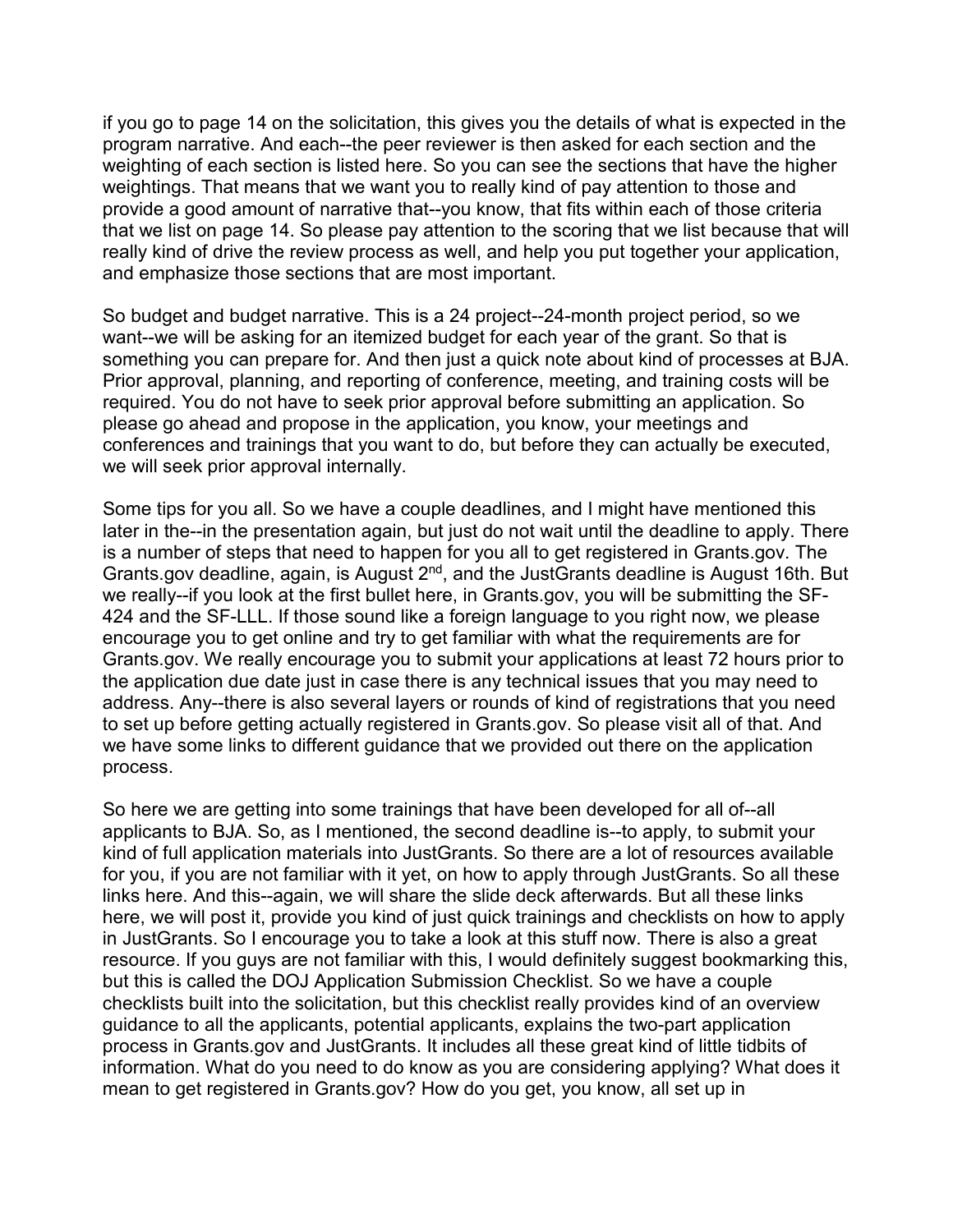if you go to page 14 on the solicitation, this gives you the details of what is expected in the program narrative. And each--the peer reviewer is then asked for each section and the weighting of each section is listed here. So you can see the sections that have the higher weightings. That means that we want you to really kind of pay attention to those and provide a good amount of narrative that--you know, that fits within each of those criteria that we list on page 14. So please pay attention to the scoring that we list because that will really kind of drive the review process as well, and help you put together your application, and emphasize those sections that are most important.

So budget and budget narrative. This is a 24 project--24-month project period, so we want--we will be asking for an itemized budget for each year of the grant. So that is something you can prepare for. And then just a quick note about kind of processes at BJA. Prior approval, planning, and reporting of conference, meeting, and training costs will be required. You do not have to seek prior approval before submitting an application. So please go ahead and propose in the application, you know, your meetings and conferences and trainings that you want to do, but before they can actually be executed, we will seek prior approval internally.

Some tips for you all. So we have a couple deadlines, and I might have mentioned this later in the--in the presentation again, but just do not wait until the deadline to apply. There is a number of steps that need to happen for you all to get registered in Grants.gov. The Grants.gov deadline, again, is August 2nd, and the JustGrants deadline is August 16th. But we really--if you look at the first bullet here, in Grants.gov, you will be submitting the SF-424 and the SF-LLL. If those sound like a foreign language to you right now, we please encourage you to get online and try to get familiar with what the requirements are for Grants.gov. We really encourage you to submit your applications at least 72 hours prior to the application due date just in case there is any technical issues that you may need to address. Any--there is also several layers or rounds of kind of registrations that you need to set up before getting actually registered in Grants.gov. So please visit all of that. And we have some links to different guidance that we provided out there on the application process.

So here we are getting into some trainings that have been developed for all of--all applicants to BJA. So, as I mentioned, the second deadline is--to apply, to submit your kind of full application materials into JustGrants. So there are a lot of resources available for you, if you are not familiar with it yet, on how to apply through JustGrants. So all these links here. And this--again, we will share the slide deck afterwards. But all these links here, we will post it, provide you kind of just quick trainings and checklists on how to apply in JustGrants. So I encourage you to take a look at this stuff now. There is also a great resource. If you guys are not familiar with this, I would definitely suggest bookmarking this, but this is called the DOJ Application Submission Checklist. So we have a couple checklists built into the solicitation, but this checklist really provides kind of an overview guidance to all the applicants, potential applicants, explains the two-part application process in Grants.gov and JustGrants. It includes all these great kind of little tidbits of information. What do you need to do know as you are considering applying? What does it mean to get registered in Grants.gov? How do you get, you know, all set up in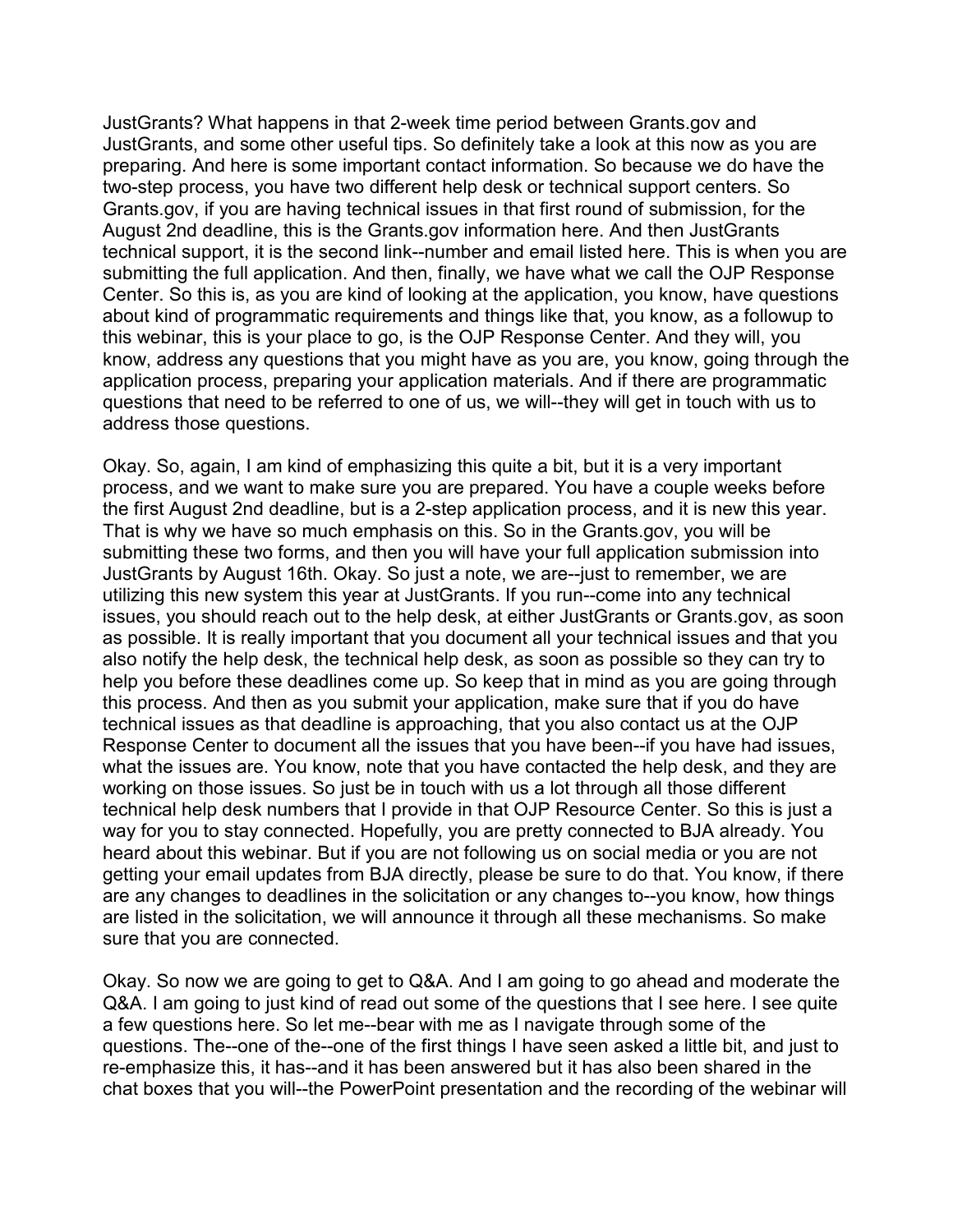JustGrants? What happens in that 2-week time period between Grants.gov and JustGrants, and some other useful tips. So definitely take a look at this now as you are preparing. And here is some important contact information. So because we do have the two-step process, you have two different help desk or technical support centers. So Grants.gov, if you are having technical issues in that first round of submission, for the August 2nd deadline, this is the Grants.gov information here. And then JustGrants technical support, it is the second link--number and email listed here. This is when you are submitting the full application. And then, finally, we have what we call the OJP Response Center. So this is, as you are kind of looking at the application, you know, have questions about kind of programmatic requirements and things like that, you know, as a followup to this webinar, this is your place to go, is the OJP Response Center. And they will, you know, address any questions that you might have as you are, you know, going through the application process, preparing your application materials. And if there are programmatic questions that need to be referred to one of us, we will--they will get in touch with us to address those questions.

Okay. So, again, I am kind of emphasizing this quite a bit, but it is a very important process, and we want to make sure you are prepared. You have a couple weeks before the first August 2nd deadline, but is a 2-step application process, and it is new this year. That is why we have so much emphasis on this. So in the Grants.gov, you will be submitting these two forms, and then you will have your full application submission into JustGrants by August 16th. Okay. So just a note, we are--just to remember, we are utilizing this new system this year at JustGrants. If you run--come into any technical issues, you should reach out to the help desk, at either JustGrants or Grants.gov, as soon as possible. It is really important that you document all your technical issues and that you also notify the help desk, the technical help desk, as soon as possible so they can try to help you before these deadlines come up. So keep that in mind as you are going through this process. And then as you submit your application, make sure that if you do have technical issues as that deadline is approaching, that you also contact us at the OJP Response Center to document all the issues that you have been--if you have had issues, what the issues are. You know, note that you have contacted the help desk, and they are working on those issues. So just be in touch with us a lot through all those different technical help desk numbers that I provide in that OJP Resource Center. So this is just a way for you to stay connected. Hopefully, you are pretty connected to BJA already. You heard about this webinar. But if you are not following us on social media or you are not getting your email updates from BJA directly, please be sure to do that. You know, if there are any changes to deadlines in the solicitation or any changes to--you know, how things are listed in the solicitation, we will announce it through all these mechanisms. So make sure that you are connected.

Okay. So now we are going to get to Q&A. And I am going to go ahead and moderate the Q&A. I am going to just kind of read out some of the questions that I see here. I see quite a few questions here. So let me--bear with me as I navigate through some of the questions. The--one of the--one of the first things I have seen asked a little bit, and just to re-emphasize this, it has--and it has been answered but it has also been shared in the chat boxes that you will--the PowerPoint presentation and the recording of the webinar will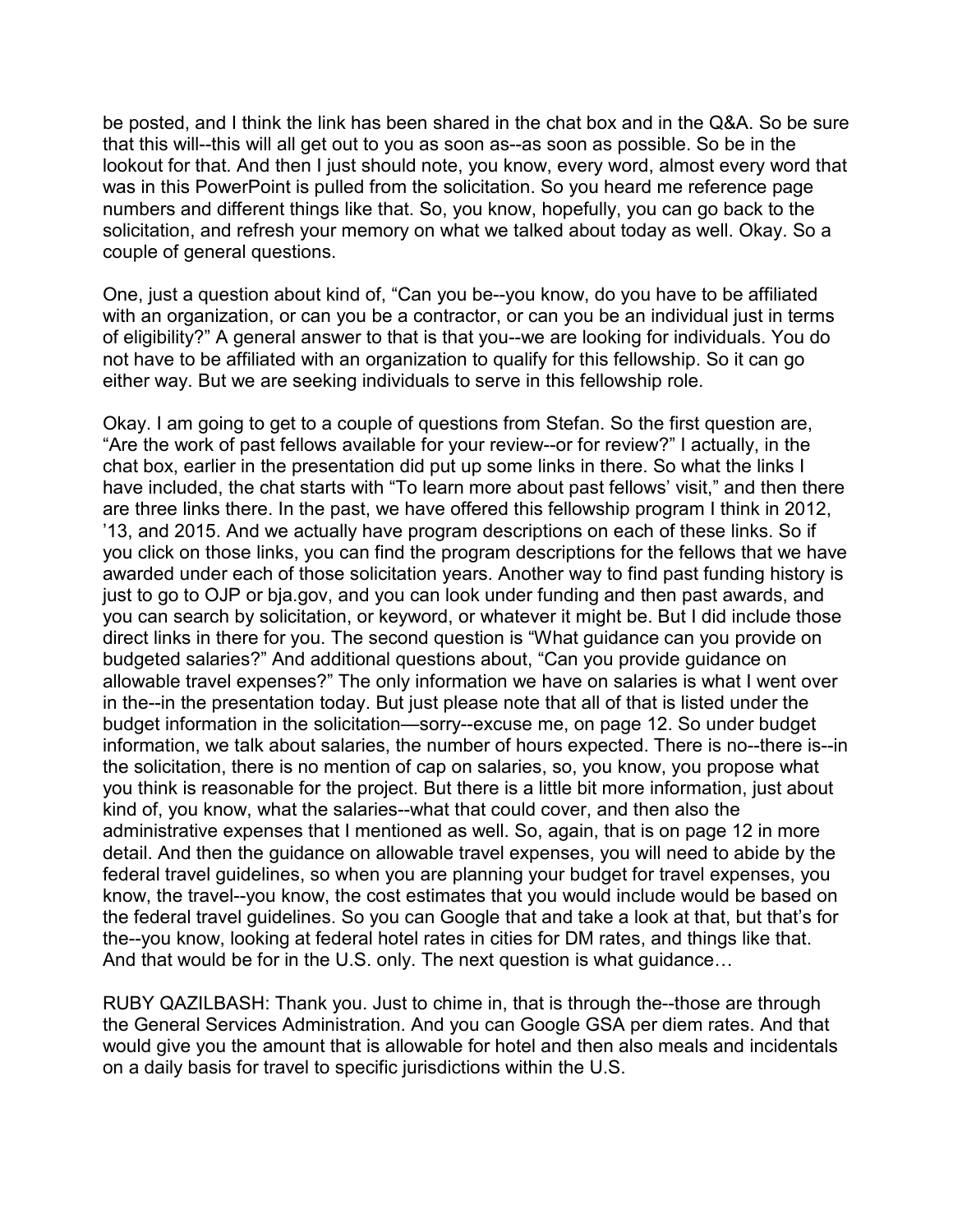be posted, and I think the link has been shared in the chat box and in the Q&A. So be sure that this will--this will all get out to you as soon as--as soon as possible. So be in the lookout for that. And then I just should note, you know, every word, almost every word that was in this PowerPoint is pulled from the solicitation. So you heard me reference page numbers and different things like that. So, you know, hopefully, you can go back to the solicitation, and refresh your memory on what we talked about today as well. Okay. So a couple of general questions.

One, just a question about kind of, "Can you be--you know, do you have to be affiliated with an organization, or can you be a contractor, or can you be an individual just in terms of eligibility?" A general answer to that is that you--we are looking for individuals. You do not have to be affiliated with an organization to qualify for this fellowship. So it can go either way. But we are seeking individuals to serve in this fellowship role.

Okay. I am going to get to a couple of questions from Stefan. So the first question are, "Are the work of past fellows available for your review--or for review?" I actually, in the chat box, earlier in the presentation did put up some links in there. So what the links I have included, the chat starts with "To learn more about past fellows' visit," and then there are three links there. In the past, we have offered this fellowship program I think in 2012, '13, and 2015. And we actually have program descriptions on each of these links. So if you click on those links, you can find the program descriptions for the fellows that we have awarded under each of those solicitation years. Another way to find past funding history is just to go to OJP or bja.gov, and you can look under funding and then past awards, and you can search by solicitation, or keyword, or whatever it might be. But I did include those direct links in there for you. The second question is "What guidance can you provide on budgeted salaries?" And additional questions about, "Can you provide guidance on allowable travel expenses?" The only information we have on salaries is what I went over in the--in the presentation today. But just please note that all of that is listed under the budget information in the solicitation—sorry--excuse me, on page 12. So under budget information, we talk about salaries, the number of hours expected. There is no--there is--in the solicitation, there is no mention of cap on salaries, so, you know, you propose what you think is reasonable for the project. But there is a little bit more information, just about kind of, you know, what the salaries--what that could cover, and then also the administrative expenses that I mentioned as well. So, again, that is on page 12 in more detail. And then the guidance on allowable travel expenses, you will need to abide by the federal travel guidelines, so when you are planning your budget for travel expenses, you know, the travel--you know, the cost estimates that you would include would be based on the federal travel guidelines. So you can Google that and take a look at that, but that's for the--you know, looking at federal hotel rates in cities for DM rates, and things like that. And that would be for in the U.S. only. The next question is what quidance...

RUBY QAZILBASH: Thank you. Just to chime in, that is through the--those are through the General Services Administration. And you can Google GSA per diem rates. And that would give you the amount that is allowable for hotel and then also meals and incidentals on a daily basis for travel to specific jurisdictions within the U.S.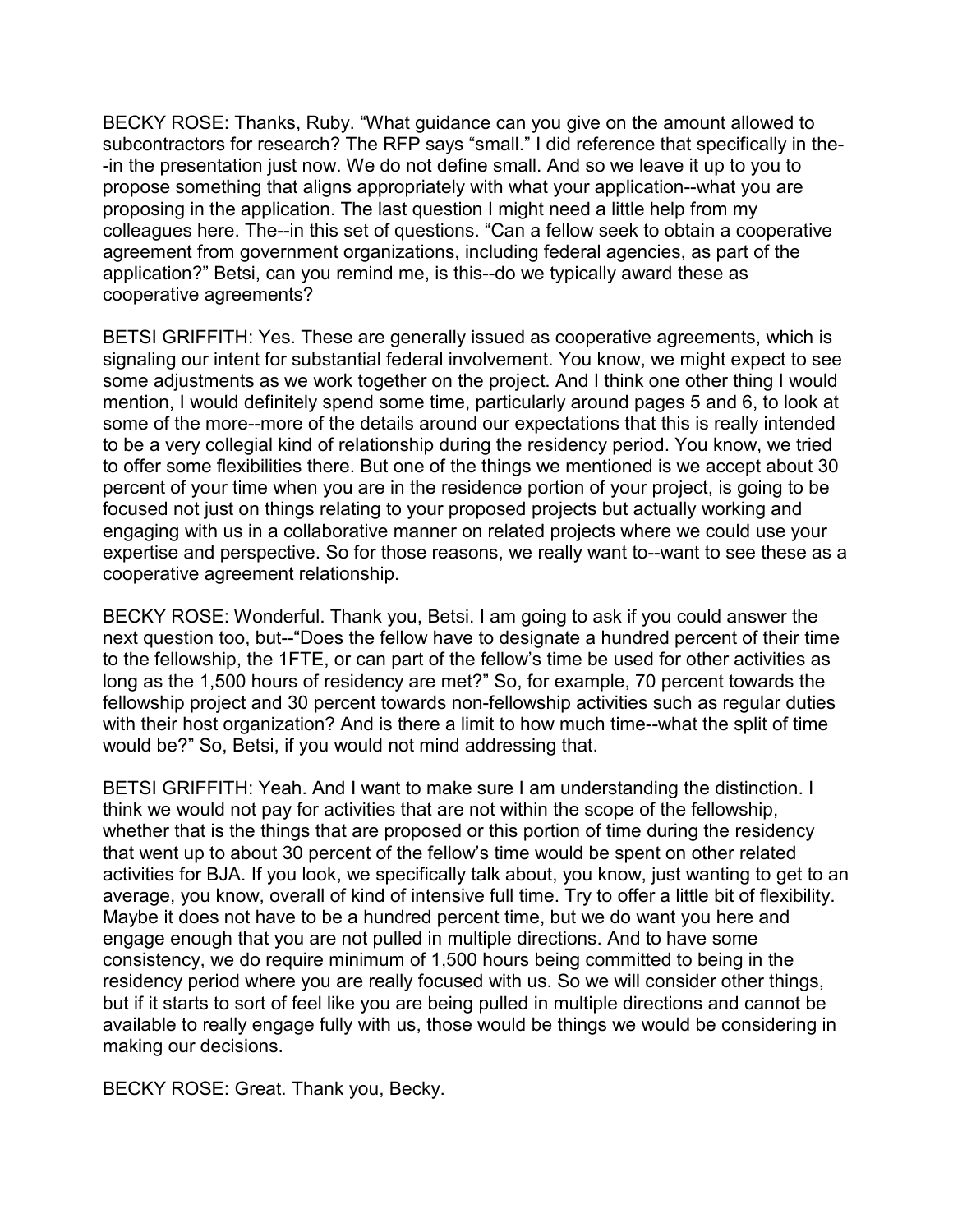BECKY ROSE: Thanks, Ruby. "What guidance can you give on the amount allowed to subcontractors for research? The RFP says "small." I did reference that specifically in the- -in the presentation just now. We do not define small. And so we leave it up to you to propose something that aligns appropriately with what your application--what you are proposing in the application. The last question I might need a little help from my colleagues here. The--in this set of questions. "Can a fellow seek to obtain a cooperative agreement from government organizations, including federal agencies, as part of the application?" Betsi, can you remind me, is this--do we typically award these as cooperative agreements?

BETSI GRIFFITH: Yes. These are generally issued as cooperative agreements, which is signaling our intent for substantial federal involvement. You know, we might expect to see some adjustments as we work together on the project. And I think one other thing I would mention, I would definitely spend some time, particularly around pages 5 and 6, to look at some of the more--more of the details around our expectations that this is really intended to be a very collegial kind of relationship during the residency period. You know, we tried to offer some flexibilities there. But one of the things we mentioned is we accept about 30 percent of your time when you are in the residence portion of your project, is going to be focused not just on things relating to your proposed projects but actually working and engaging with us in a collaborative manner on related projects where we could use your expertise and perspective. So for those reasons, we really want to--want to see these as a cooperative agreement relationship.

BECKY ROSE: Wonderful. Thank you, Betsi. I am going to ask if you could answer the next question too, but--"Does the fellow have to designate a hundred percent of their time to the fellowship, the 1FTE, or can part of the fellow's time be used for other activities as long as the 1,500 hours of residency are met?" So, for example, 70 percent towards the fellowship project and 30 percent towards non-fellowship activities such as regular duties with their host organization? And is there a limit to how much time--what the split of time would be?" So, Betsi, if you would not mind addressing that.

BETSI GRIFFITH: Yeah. And I want to make sure I am understanding the distinction. I think we would not pay for activities that are not within the scope of the fellowship, whether that is the things that are proposed or this portion of time during the residency that went up to about 30 percent of the fellow's time would be spent on other related activities for BJA. If you look, we specifically talk about, you know, just wanting to get to an average, you know, overall of kind of intensive full time. Try to offer a little bit of flexibility. Maybe it does not have to be a hundred percent time, but we do want you here and engage enough that you are not pulled in multiple directions. And to have some consistency, we do require minimum of 1,500 hours being committed to being in the residency period where you are really focused with us. So we will consider other things, but if it starts to sort of feel like you are being pulled in multiple directions and cannot be available to really engage fully with us, those would be things we would be considering in making our decisions.

BECKY ROSE: Great. Thank you, Becky.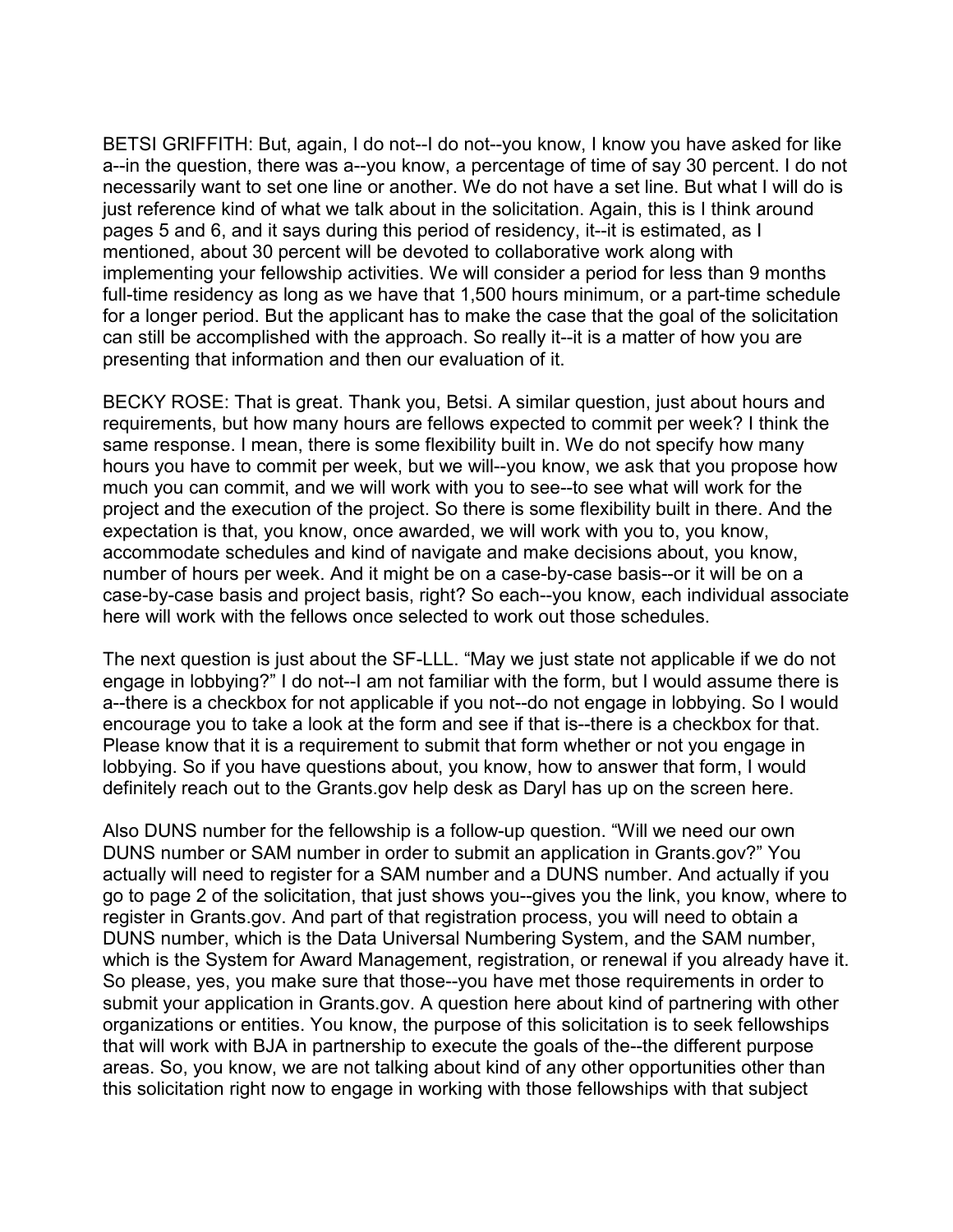BETSI GRIFFITH: But, again, I do not--I do not--you know, I know you have asked for like a--in the question, there was a--you know, a percentage of time of say 30 percent. I do not necessarily want to set one line or another. We do not have a set line. But what I will do is just reference kind of what we talk about in the solicitation. Again, this is I think around pages 5 and 6, and it says during this period of residency, it--it is estimated, as I mentioned, about 30 percent will be devoted to collaborative work along with implementing your fellowship activities. We will consider a period for less than 9 months full-time residency as long as we have that 1,500 hours minimum, or a part-time schedule for a longer period. But the applicant has to make the case that the goal of the solicitation can still be accomplished with the approach. So really it--it is a matter of how you are presenting that information and then our evaluation of it.

BECKY ROSE: That is great. Thank you, Betsi. A similar question, just about hours and requirements, but how many hours are fellows expected to commit per week? I think the same response. I mean, there is some flexibility built in. We do not specify how many hours you have to commit per week, but we will--you know, we ask that you propose how much you can commit, and we will work with you to see--to see what will work for the project and the execution of the project. So there is some flexibility built in there. And the expectation is that, you know, once awarded, we will work with you to, you know, accommodate schedules and kind of navigate and make decisions about, you know, number of hours per week. And it might be on a case-by-case basis--or it will be on a case-by-case basis and project basis, right? So each--you know, each individual associate here will work with the fellows once selected to work out those schedules.

The next question is just about the SF-LLL. "May we just state not applicable if we do not engage in lobbying?" I do not--I am not familiar with the form, but I would assume there is a--there is a checkbox for not applicable if you not--do not engage in lobbying. So I would encourage you to take a look at the form and see if that is--there is a checkbox for that. Please know that it is a requirement to submit that form whether or not you engage in lobbying. So if you have questions about, you know, how to answer that form, I would definitely reach out to the Grants.gov help desk as Daryl has up on the screen here.

Also DUNS number for the fellowship is a follow-up question. "Will we need our own DUNS number or SAM number in order to submit an application in Grants.gov?" You actually will need to register for a SAM number and a DUNS number. And actually if you go to page 2 of the solicitation, that just shows you--gives you the link, you know, where to register in Grants.gov. And part of that registration process, you will need to obtain a DUNS number, which is the Data Universal Numbering System, and the SAM number, which is the System for Award Management, registration, or renewal if you already have it. So please, yes, you make sure that those--you have met those requirements in order to submit your application in Grants.gov. A question here about kind of partnering with other organizations or entities. You know, the purpose of this solicitation is to seek fellowships that will work with BJA in partnership to execute the goals of the--the different purpose areas. So, you know, we are not talking about kind of any other opportunities other than this solicitation right now to engage in working with those fellowships with that subject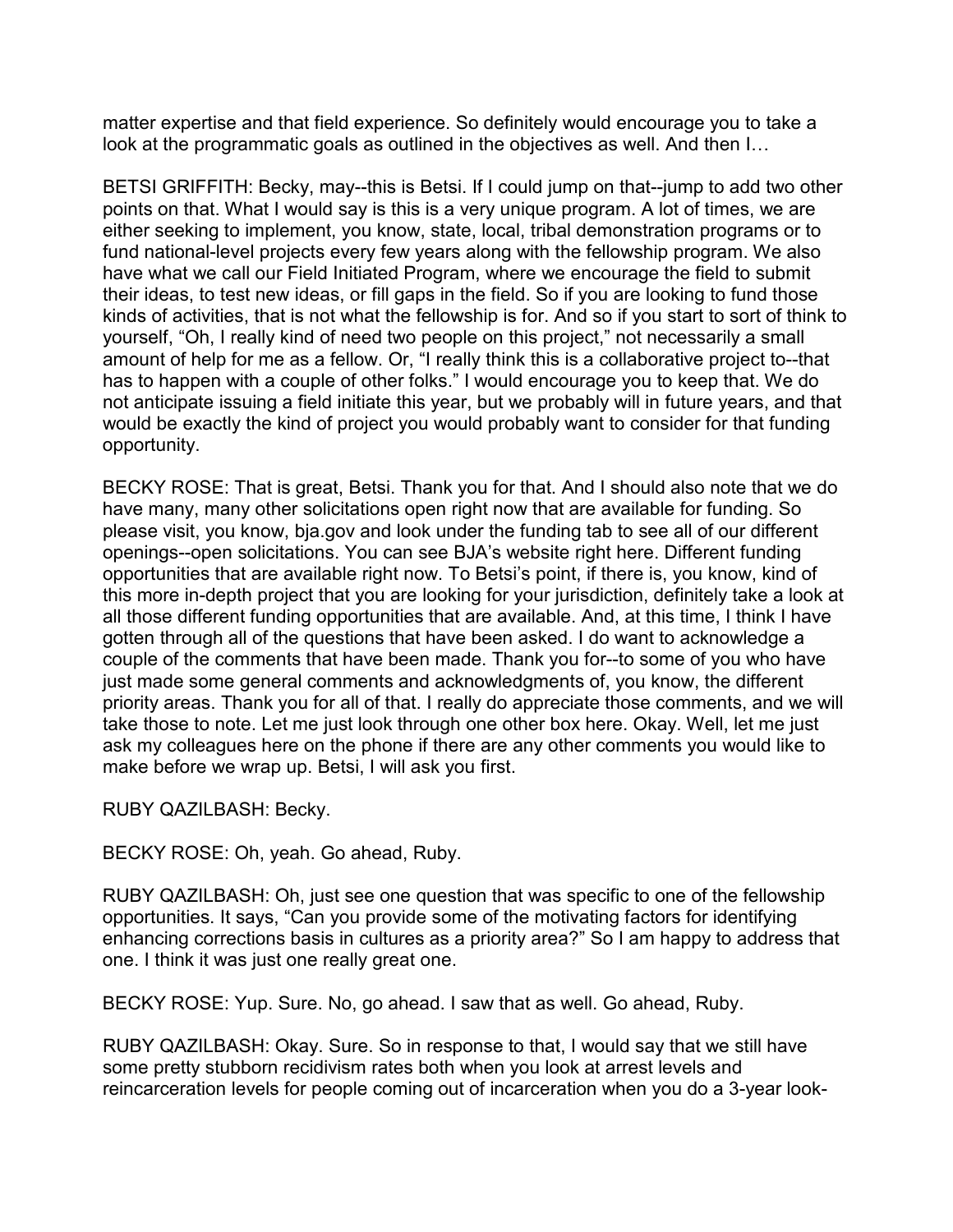matter expertise and that field experience. So definitely would encourage you to take a look at the programmatic goals as outlined in the objectives as well. And then I…

BETSI GRIFFITH: Becky, may--this is Betsi. If I could jump on that--jump to add two other points on that. What I would say is this is a very unique program. A lot of times, we are either seeking to implement, you know, state, local, tribal demonstration programs or to fund national-level projects every few years along with the fellowship program. We also have what we call our Field Initiated Program, where we encourage the field to submit their ideas, to test new ideas, or fill gaps in the field. So if you are looking to fund those kinds of activities, that is not what the fellowship is for. And so if you start to sort of think to yourself, "Oh, I really kind of need two people on this project," not necessarily a small amount of help for me as a fellow. Or, "I really think this is a collaborative project to--that has to happen with a couple of other folks." I would encourage you to keep that. We do not anticipate issuing a field initiate this year, but we probably will in future years, and that would be exactly the kind of project you would probably want to consider for that funding opportunity.

BECKY ROSE: That is great, Betsi. Thank you for that. And I should also note that we do have many, many other solicitations open right now that are available for funding. So please visit, you know, bja.gov and look under the funding tab to see all of our different openings--open solicitations. You can see BJA's website right here. Different funding opportunities that are available right now. To Betsi's point, if there is, you know, kind of this more in-depth project that you are looking for your jurisdiction, definitely take a look at all those different funding opportunities that are available. And, at this time, I think I have gotten through all of the questions that have been asked. I do want to acknowledge a couple of the comments that have been made. Thank you for--to some of you who have just made some general comments and acknowledgments of, you know, the different priority areas. Thank you for all of that. I really do appreciate those comments, and we will take those to note. Let me just look through one other box here. Okay. Well, let me just ask my colleagues here on the phone if there are any other comments you would like to make before we wrap up. Betsi, I will ask you first.

RUBY QAZILBASH: Becky.

BECKY ROSE: Oh, yeah. Go ahead, Ruby.

RUBY QAZILBASH: Oh, just see one question that was specific to one of the fellowship opportunities. It says, "Can you provide some of the motivating factors for identifying enhancing corrections basis in cultures as a priority area?" So I am happy to address that one. I think it was just one really great one.

BECKY ROSE: Yup. Sure. No, go ahead. I saw that as well. Go ahead, Ruby.

RUBY QAZILBASH: Okay. Sure. So in response to that, I would say that we still have some pretty stubborn recidivism rates both when you look at arrest levels and reincarceration levels for people coming out of incarceration when you do a 3-year look-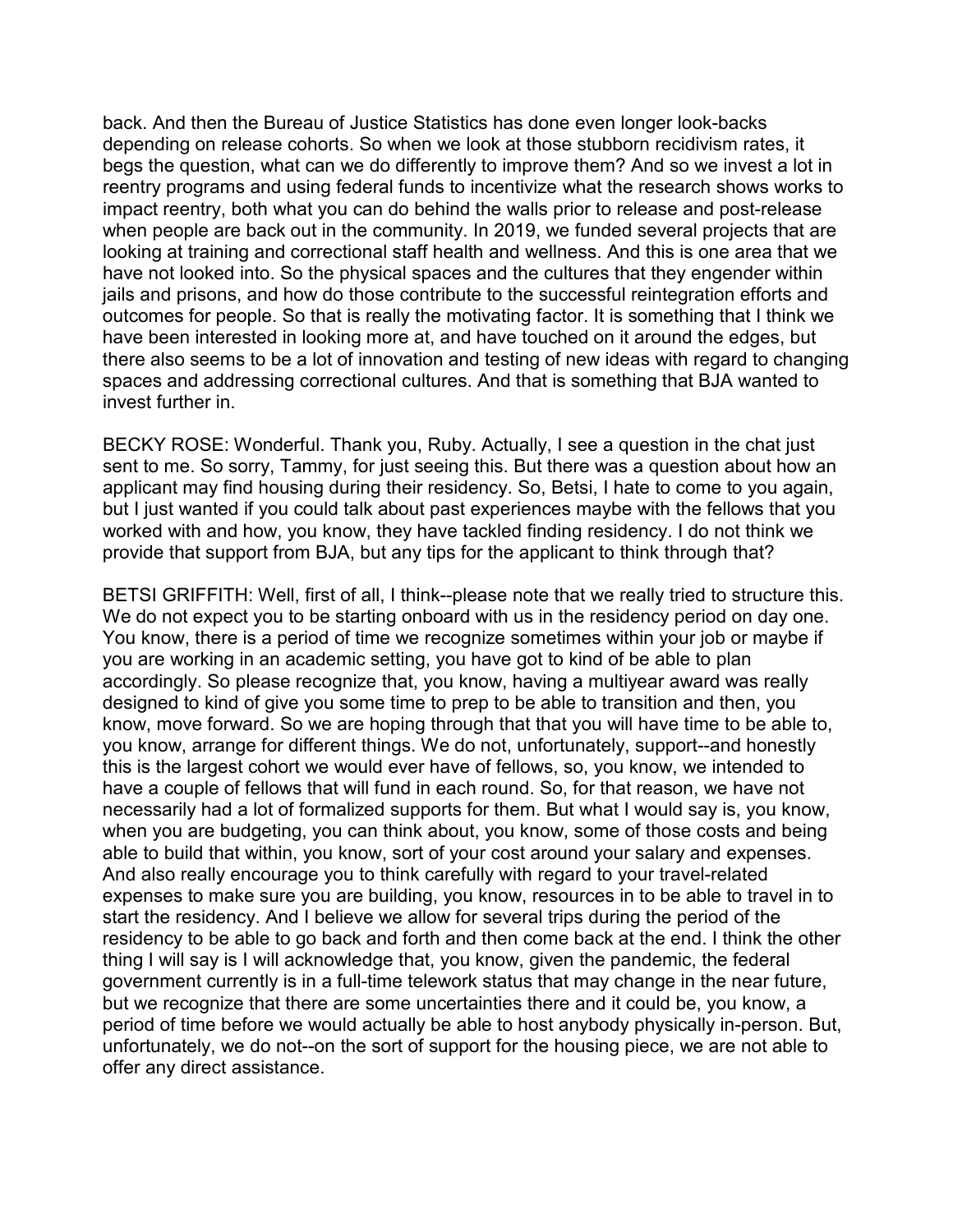back. And then the Bureau of Justice Statistics has done even longer look-backs depending on release cohorts. So when we look at those stubborn recidivism rates, it begs the question, what can we do differently to improve them? And so we invest a lot in reentry programs and using federal funds to incentivize what the research shows works to impact reentry, both what you can do behind the walls prior to release and post-release when people are back out in the community. In 2019, we funded several projects that are looking at training and correctional staff health and wellness. And this is one area that we have not looked into. So the physical spaces and the cultures that they engender within jails and prisons, and how do those contribute to the successful reintegration efforts and outcomes for people. So that is really the motivating factor. It is something that I think we have been interested in looking more at, and have touched on it around the edges, but there also seems to be a lot of innovation and testing of new ideas with regard to changing spaces and addressing correctional cultures. And that is something that BJA wanted to invest further in.

BECKY ROSE: Wonderful. Thank you, Ruby. Actually, I see a question in the chat just sent to me. So sorry, Tammy, for just seeing this. But there was a question about how an applicant may find housing during their residency. So, Betsi, I hate to come to you again, but I just wanted if you could talk about past experiences maybe with the fellows that you worked with and how, you know, they have tackled finding residency. I do not think we provide that support from BJA, but any tips for the applicant to think through that?

BETSI GRIFFITH: Well, first of all, I think--please note that we really tried to structure this. We do not expect you to be starting onboard with us in the residency period on day one. You know, there is a period of time we recognize sometimes within your job or maybe if you are working in an academic setting, you have got to kind of be able to plan accordingly. So please recognize that, you know, having a multiyear award was really designed to kind of give you some time to prep to be able to transition and then, you know, move forward. So we are hoping through that that you will have time to be able to, you know, arrange for different things. We do not, unfortunately, support--and honestly this is the largest cohort we would ever have of fellows, so, you know, we intended to have a couple of fellows that will fund in each round. So, for that reason, we have not necessarily had a lot of formalized supports for them. But what I would say is, you know, when you are budgeting, you can think about, you know, some of those costs and being able to build that within, you know, sort of your cost around your salary and expenses. And also really encourage you to think carefully with regard to your travel-related expenses to make sure you are building, you know, resources in to be able to travel in to start the residency. And I believe we allow for several trips during the period of the residency to be able to go back and forth and then come back at the end. I think the other thing I will say is I will acknowledge that, you know, given the pandemic, the federal government currently is in a full-time telework status that may change in the near future, but we recognize that there are some uncertainties there and it could be, you know, a period of time before we would actually be able to host anybody physically in-person. But, unfortunately, we do not--on the sort of support for the housing piece, we are not able to offer any direct assistance.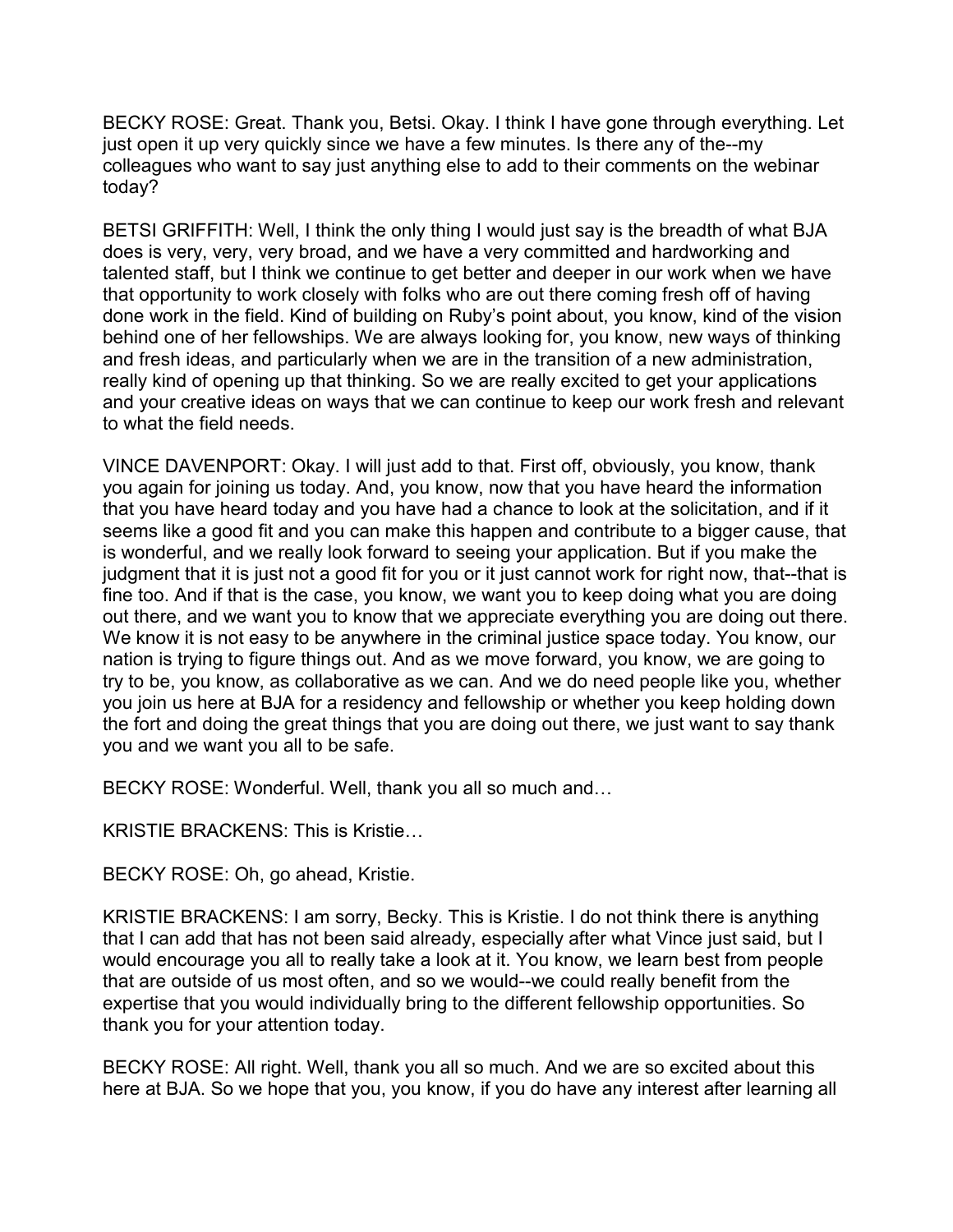BECKY ROSE: Great. Thank you, Betsi. Okay. I think I have gone through everything. Let just open it up very quickly since we have a few minutes. Is there any of the--my colleagues who want to say just anything else to add to their comments on the webinar today?

BETSI GRIFFITH: Well, I think the only thing I would just say is the breadth of what BJA does is very, very, very broad, and we have a very committed and hardworking and talented staff, but I think we continue to get better and deeper in our work when we have that opportunity to work closely with folks who are out there coming fresh off of having done work in the field. Kind of building on Ruby's point about, you know, kind of the vision behind one of her fellowships. We are always looking for, you know, new ways of thinking and fresh ideas, and particularly when we are in the transition of a new administration, really kind of opening up that thinking. So we are really excited to get your applications and your creative ideas on ways that we can continue to keep our work fresh and relevant to what the field needs.

VINCE DAVENPORT: Okay. I will just add to that. First off, obviously, you know, thank you again for joining us today. And, you know, now that you have heard the information that you have heard today and you have had a chance to look at the solicitation, and if it seems like a good fit and you can make this happen and contribute to a bigger cause, that is wonderful, and we really look forward to seeing your application. But if you make the judgment that it is just not a good fit for you or it just cannot work for right now, that--that is fine too. And if that is the case, you know, we want you to keep doing what you are doing out there, and we want you to know that we appreciate everything you are doing out there. We know it is not easy to be anywhere in the criminal justice space today. You know, our nation is trying to figure things out. And as we move forward, you know, we are going to try to be, you know, as collaborative as we can. And we do need people like you, whether you join us here at BJA for a residency and fellowship or whether you keep holding down the fort and doing the great things that you are doing out there, we just want to say thank you and we want you all to be safe.

BECKY ROSE: Wonderful. Well, thank you all so much and…

KRISTIE BRACKENS: This is Kristie…

BECKY ROSE: Oh, go ahead, Kristie.

KRISTIE BRACKENS: I am sorry, Becky. This is Kristie. I do not think there is anything that I can add that has not been said already, especially after what Vince just said, but I would encourage you all to really take a look at it. You know, we learn best from people that are outside of us most often, and so we would--we could really benefit from the expertise that you would individually bring to the different fellowship opportunities. So thank you for your attention today.

BECKY ROSE: All right. Well, thank you all so much. And we are so excited about this here at BJA. So we hope that you, you know, if you do have any interest after learning all